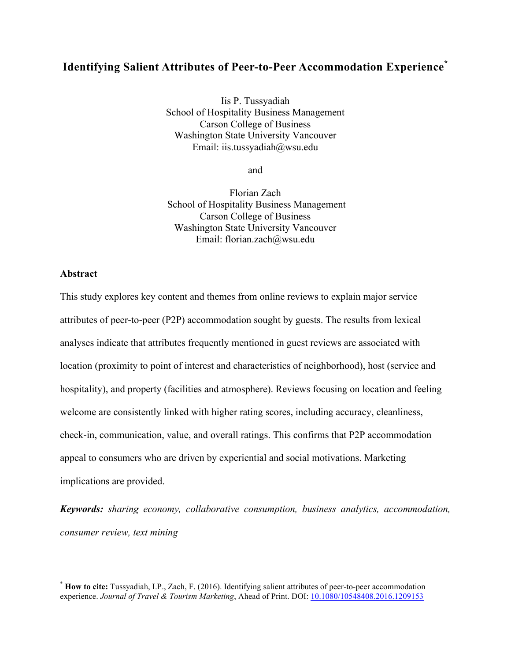# **Identifying Salient Attributes of Peer-to-Peer Accommodation Experience\***

Iis P. Tussyadiah School of Hospitality Business Management Carson College of Business Washington State University Vancouver Email: iis.tussyadiah@wsu.edu

and

Florian Zach School of Hospitality Business Management Carson College of Business Washington State University Vancouver Email: florian.zach@wsu.edu

# **Abstract**

This study explores key content and themes from online reviews to explain major service attributes of peer-to-peer (P2P) accommodation sought by guests. The results from lexical analyses indicate that attributes frequently mentioned in guest reviews are associated with location (proximity to point of interest and characteristics of neighborhood), host (service and hospitality), and property (facilities and atmosphere). Reviews focusing on location and feeling welcome are consistently linked with higher rating scores, including accuracy, cleanliness, check-in, communication, value, and overall ratings. This confirms that P2P accommodation appeal to consumers who are driven by experiential and social motivations. Marketing implications are provided.

*Keywords: sharing economy, collaborative consumption, business analytics, accommodation, consumer review, text mining*

 \* **How to cite:** Tussyadiah, I.P., Zach, F. (2016). Identifying salient attributes of peer-to-peer accommodation experience. *Journal of Travel & Tourism Marketing*, Ahead of Print. DOI: 10.1080/10548408.2016.1209153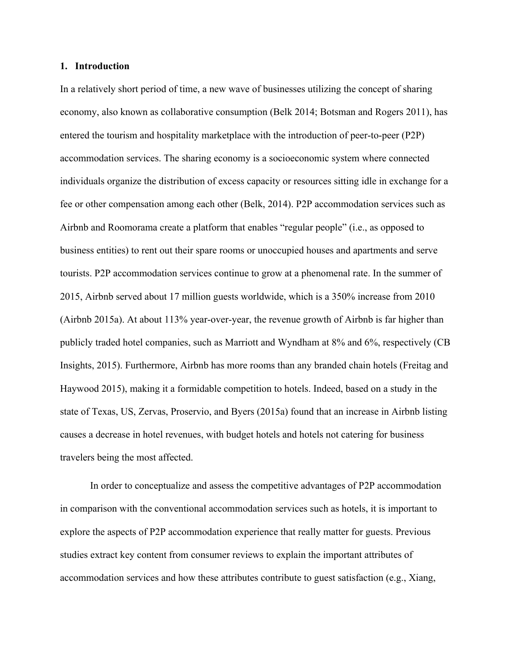### **1. Introduction**

In a relatively short period of time, a new wave of businesses utilizing the concept of sharing economy, also known as collaborative consumption (Belk 2014; Botsman and Rogers 2011), has entered the tourism and hospitality marketplace with the introduction of peer-to-peer (P2P) accommodation services. The sharing economy is a socioeconomic system where connected individuals organize the distribution of excess capacity or resources sitting idle in exchange for a fee or other compensation among each other (Belk, 2014). P2P accommodation services such as Airbnb and Roomorama create a platform that enables "regular people" (i.e., as opposed to business entities) to rent out their spare rooms or unoccupied houses and apartments and serve tourists. P2P accommodation services continue to grow at a phenomenal rate. In the summer of 2015, Airbnb served about 17 million guests worldwide, which is a 350% increase from 2010 (Airbnb 2015a). At about 113% year-over-year, the revenue growth of Airbnb is far higher than publicly traded hotel companies, such as Marriott and Wyndham at 8% and 6%, respectively (CB Insights, 2015). Furthermore, Airbnb has more rooms than any branded chain hotels (Freitag and Haywood 2015), making it a formidable competition to hotels. Indeed, based on a study in the state of Texas, US, Zervas, Proservio, and Byers (2015a) found that an increase in Airbnb listing causes a decrease in hotel revenues, with budget hotels and hotels not catering for business travelers being the most affected.

In order to conceptualize and assess the competitive advantages of P2P accommodation in comparison with the conventional accommodation services such as hotels, it is important to explore the aspects of P2P accommodation experience that really matter for guests. Previous studies extract key content from consumer reviews to explain the important attributes of accommodation services and how these attributes contribute to guest satisfaction (e.g., Xiang,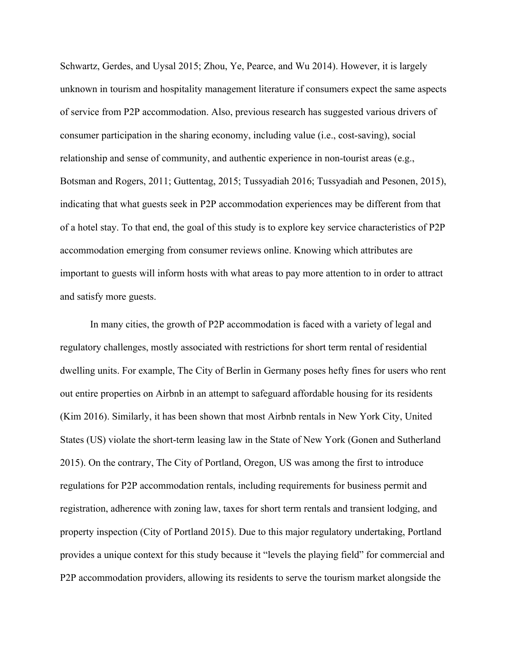Schwartz, Gerdes, and Uysal 2015; Zhou, Ye, Pearce, and Wu 2014). However, it is largely unknown in tourism and hospitality management literature if consumers expect the same aspects of service from P2P accommodation. Also, previous research has suggested various drivers of consumer participation in the sharing economy, including value (i.e., cost-saving), social relationship and sense of community, and authentic experience in non-tourist areas (e.g., Botsman and Rogers, 2011; Guttentag, 2015; Tussyadiah 2016; Tussyadiah and Pesonen, 2015), indicating that what guests seek in P2P accommodation experiences may be different from that of a hotel stay. To that end, the goal of this study is to explore key service characteristics of P2P accommodation emerging from consumer reviews online. Knowing which attributes are important to guests will inform hosts with what areas to pay more attention to in order to attract and satisfy more guests.

In many cities, the growth of P2P accommodation is faced with a variety of legal and regulatory challenges, mostly associated with restrictions for short term rental of residential dwelling units. For example, The City of Berlin in Germany poses hefty fines for users who rent out entire properties on Airbnb in an attempt to safeguard affordable housing for its residents (Kim 2016). Similarly, it has been shown that most Airbnb rentals in New York City, United States (US) violate the short-term leasing law in the State of New York (Gonen and Sutherland 2015). On the contrary, The City of Portland, Oregon, US was among the first to introduce regulations for P2P accommodation rentals, including requirements for business permit and registration, adherence with zoning law, taxes for short term rentals and transient lodging, and property inspection (City of Portland 2015). Due to this major regulatory undertaking, Portland provides a unique context for this study because it "levels the playing field" for commercial and P2P accommodation providers, allowing its residents to serve the tourism market alongside the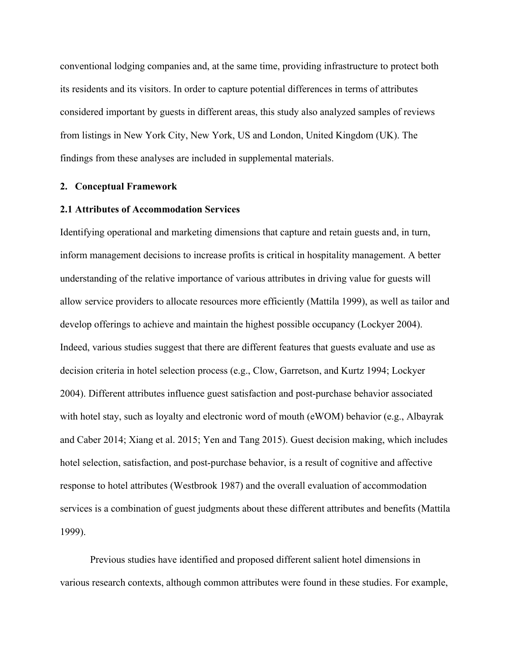conventional lodging companies and, at the same time, providing infrastructure to protect both its residents and its visitors. In order to capture potential differences in terms of attributes considered important by guests in different areas, this study also analyzed samples of reviews from listings in New York City, New York, US and London, United Kingdom (UK). The findings from these analyses are included in supplemental materials.

### **2. Conceptual Framework**

#### **2.1 Attributes of Accommodation Services**

Identifying operational and marketing dimensions that capture and retain guests and, in turn, inform management decisions to increase profits is critical in hospitality management. A better understanding of the relative importance of various attributes in driving value for guests will allow service providers to allocate resources more efficiently (Mattila 1999), as well as tailor and develop offerings to achieve and maintain the highest possible occupancy (Lockyer 2004). Indeed, various studies suggest that there are different features that guests evaluate and use as decision criteria in hotel selection process (e.g., Clow, Garretson, and Kurtz 1994; Lockyer 2004). Different attributes influence guest satisfaction and post-purchase behavior associated with hotel stay, such as loyalty and electronic word of mouth (eWOM) behavior (e.g., Albayrak and Caber 2014; Xiang et al. 2015; Yen and Tang 2015). Guest decision making, which includes hotel selection, satisfaction, and post-purchase behavior, is a result of cognitive and affective response to hotel attributes (Westbrook 1987) and the overall evaluation of accommodation services is a combination of guest judgments about these different attributes and benefits (Mattila 1999).

Previous studies have identified and proposed different salient hotel dimensions in various research contexts, although common attributes were found in these studies. For example,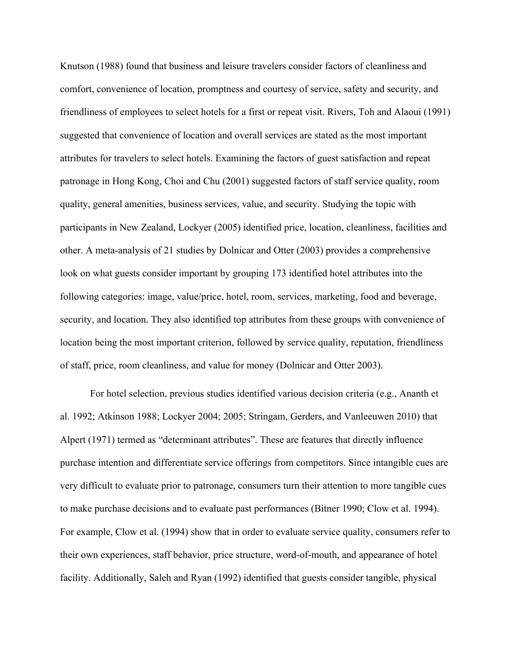Knutson (1988) found that business and leisure travelers consider factors of cleanliness and comfort, convenience of location, promptness and courtesy of service, safety and security, and friendliness of employees to select hotels for a first or repeat visit. Rivers, Toh and Alaoui (1991) suggested that convenience of location and overall services are stated as the most important attributes for travelers to select hotels. Examining the factors of guest satisfaction and repeat patronage in Hong Kong, Choi and Chu (2001) suggested factors of staff service quality, room quality, general amenities, business services, value, and security. Studying the topic with participants in New Zealand, Lockyer (2005) identified price, location, cleanliness, facilities and other. A meta-analysis of 21 studies by Dolnicar and Otter (2003) provides a comprehensive look on what guests consider important by grouping 173 identified hotel attributes into the following categories: image, value/price, hotel, room, services, marketing, food and beverage, security, and location. They also identified top attributes from these groups with convenience of location being the most important criterion, followed by service quality, reputation, friendliness of staff, price, room cleanliness, and value for money (Dolnicar and Otter 2003).

For hotel selection, previous studies identified various decision criteria (e.g., Ananth et al. 1992; Atkinson 1988; Lockyer 2004; 2005; Stringam, Gerders, and Vanleeuwen 2010) that Alpert (1971) termed as "determinant attributes". These are features that directly influence purchase intention and differentiate service offerings from competitors. Since intangible cues are very difficult to evaluate prior to patronage, consumers turn their attention to more tangible cues to make purchase decisions and to evaluate past performances (Bitner 1990; Clow et al. 1994). For example, Clow et al. (1994) show that in order to evaluate service quality, consumers refer to their own experiences, staff behavior, price structure, word-of-mouth, and appearance of hotel facility. Additionally, Saleh and Ryan (1992) identified that guests consider tangible, physical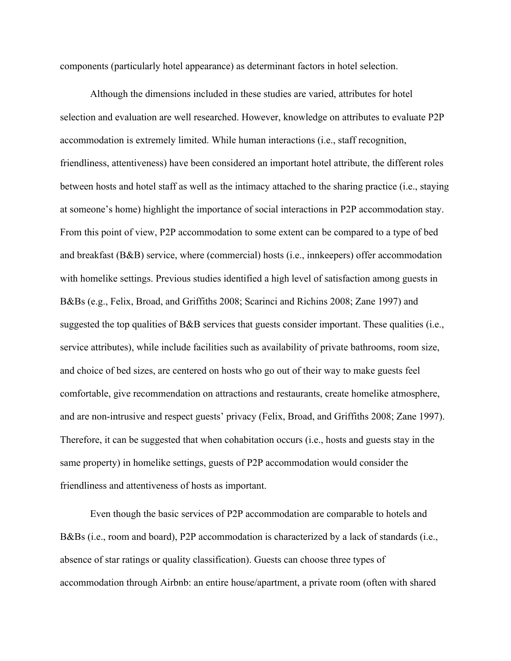components (particularly hotel appearance) as determinant factors in hotel selection.

Although the dimensions included in these studies are varied, attributes for hotel selection and evaluation are well researched. However, knowledge on attributes to evaluate P2P accommodation is extremely limited. While human interactions (i.e., staff recognition, friendliness, attentiveness) have been considered an important hotel attribute, the different roles between hosts and hotel staff as well as the intimacy attached to the sharing practice (i.e., staying at someone's home) highlight the importance of social interactions in P2P accommodation stay. From this point of view, P2P accommodation to some extent can be compared to a type of bed and breakfast (B&B) service, where (commercial) hosts (i.e., innkeepers) offer accommodation with homelike settings. Previous studies identified a high level of satisfaction among guests in B&Bs (e.g., Felix, Broad, and Griffiths 2008; Scarinci and Richins 2008; Zane 1997) and suggested the top qualities of B&B services that guests consider important. These qualities (i.e., service attributes), while include facilities such as availability of private bathrooms, room size, and choice of bed sizes, are centered on hosts who go out of their way to make guests feel comfortable, give recommendation on attractions and restaurants, create homelike atmosphere, and are non-intrusive and respect guests' privacy (Felix, Broad, and Griffiths 2008; Zane 1997). Therefore, it can be suggested that when cohabitation occurs (i.e., hosts and guests stay in the same property) in homelike settings, guests of P2P accommodation would consider the friendliness and attentiveness of hosts as important.

Even though the basic services of P2P accommodation are comparable to hotels and B&Bs (i.e., room and board), P2P accommodation is characterized by a lack of standards (i.e., absence of star ratings or quality classification). Guests can choose three types of accommodation through Airbnb: an entire house/apartment, a private room (often with shared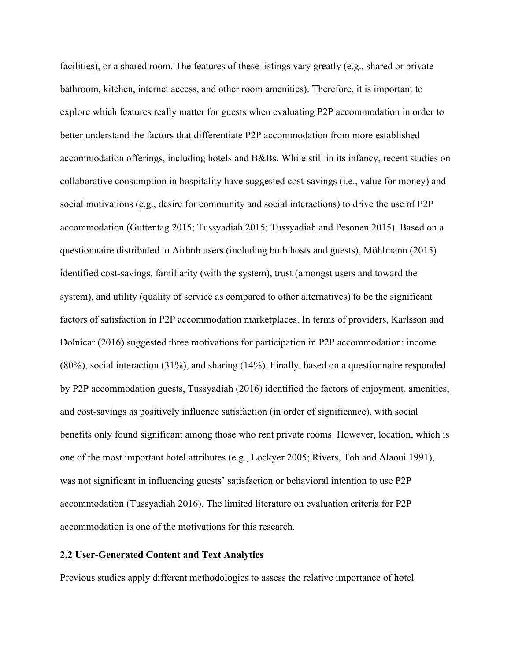facilities), or a shared room. The features of these listings vary greatly (e.g., shared or private bathroom, kitchen, internet access, and other room amenities). Therefore, it is important to explore which features really matter for guests when evaluating P2P accommodation in order to better understand the factors that differentiate P2P accommodation from more established accommodation offerings, including hotels and B&Bs. While still in its infancy, recent studies on collaborative consumption in hospitality have suggested cost-savings (i.e., value for money) and social motivations (e.g., desire for community and social interactions) to drive the use of P2P accommodation (Guttentag 2015; Tussyadiah 2015; Tussyadiah and Pesonen 2015). Based on a questionnaire distributed to Airbnb users (including both hosts and guests), Möhlmann (2015) identified cost-savings, familiarity (with the system), trust (amongst users and toward the system), and utility (quality of service as compared to other alternatives) to be the significant factors of satisfaction in P2P accommodation marketplaces. In terms of providers, Karlsson and Dolnicar (2016) suggested three motivations for participation in P2P accommodation: income (80%), social interaction (31%), and sharing (14%). Finally, based on a questionnaire responded by P2P accommodation guests, Tussyadiah (2016) identified the factors of enjoyment, amenities, and cost-savings as positively influence satisfaction (in order of significance), with social benefits only found significant among those who rent private rooms. However, location, which is one of the most important hotel attributes (e.g., Lockyer 2005; Rivers, Toh and Alaoui 1991), was not significant in influencing guests' satisfaction or behavioral intention to use P2P accommodation (Tussyadiah 2016). The limited literature on evaluation criteria for P2P accommodation is one of the motivations for this research.

# **2.2 User-Generated Content and Text Analytics**

Previous studies apply different methodologies to assess the relative importance of hotel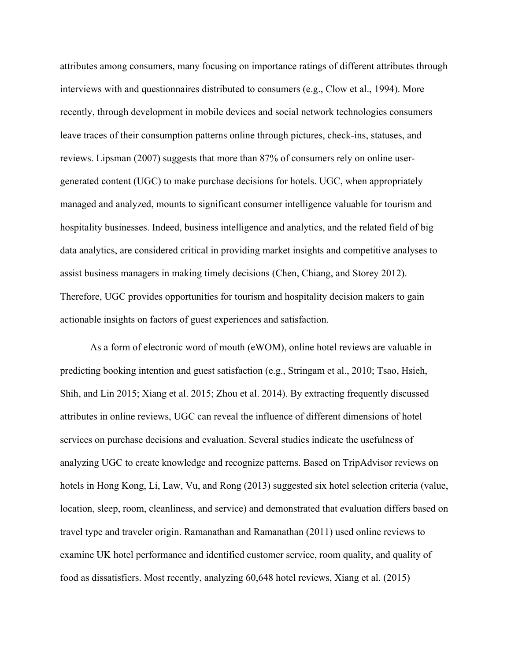attributes among consumers, many focusing on importance ratings of different attributes through interviews with and questionnaires distributed to consumers (e.g., Clow et al., 1994). More recently, through development in mobile devices and social network technologies consumers leave traces of their consumption patterns online through pictures, check-ins, statuses, and reviews. Lipsman (2007) suggests that more than 87% of consumers rely on online usergenerated content (UGC) to make purchase decisions for hotels. UGC, when appropriately managed and analyzed, mounts to significant consumer intelligence valuable for tourism and hospitality businesses. Indeed, business intelligence and analytics, and the related field of big data analytics, are considered critical in providing market insights and competitive analyses to assist business managers in making timely decisions (Chen, Chiang, and Storey 2012). Therefore, UGC provides opportunities for tourism and hospitality decision makers to gain actionable insights on factors of guest experiences and satisfaction.

As a form of electronic word of mouth (eWOM), online hotel reviews are valuable in predicting booking intention and guest satisfaction (e.g., Stringam et al., 2010; Tsao, Hsieh, Shih, and Lin 2015; Xiang et al. 2015; Zhou et al. 2014). By extracting frequently discussed attributes in online reviews, UGC can reveal the influence of different dimensions of hotel services on purchase decisions and evaluation. Several studies indicate the usefulness of analyzing UGC to create knowledge and recognize patterns. Based on TripAdvisor reviews on hotels in Hong Kong, Li, Law, Vu, and Rong (2013) suggested six hotel selection criteria (value, location, sleep, room, cleanliness, and service) and demonstrated that evaluation differs based on travel type and traveler origin. Ramanathan and Ramanathan (2011) used online reviews to examine UK hotel performance and identified customer service, room quality, and quality of food as dissatisfiers. Most recently, analyzing 60,648 hotel reviews, Xiang et al. (2015)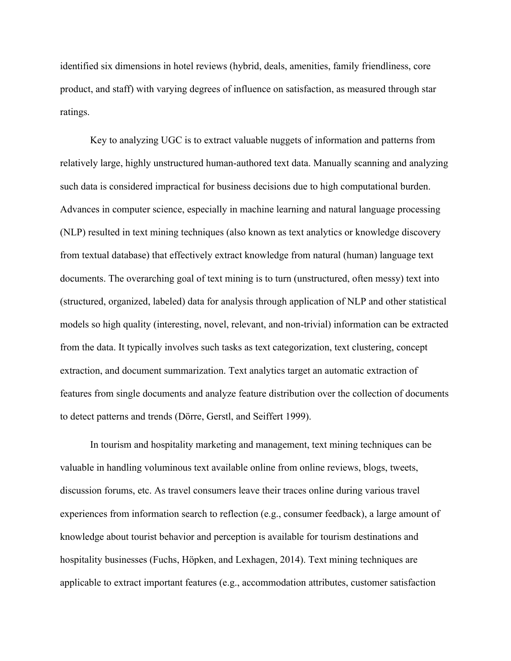identified six dimensions in hotel reviews (hybrid, deals, amenities, family friendliness, core product, and staff) with varying degrees of influence on satisfaction, as measured through star ratings.

Key to analyzing UGC is to extract valuable nuggets of information and patterns from relatively large, highly unstructured human-authored text data. Manually scanning and analyzing such data is considered impractical for business decisions due to high computational burden. Advances in computer science, especially in machine learning and natural language processing (NLP) resulted in text mining techniques (also known as text analytics or knowledge discovery from textual database) that effectively extract knowledge from natural (human) language text documents. The overarching goal of text mining is to turn (unstructured, often messy) text into (structured, organized, labeled) data for analysis through application of NLP and other statistical models so high quality (interesting, novel, relevant, and non-trivial) information can be extracted from the data. It typically involves such tasks as text categorization, text clustering, concept extraction, and document summarization. Text analytics target an automatic extraction of features from single documents and analyze feature distribution over the collection of documents to detect patterns and trends (Dörre, Gerstl, and Seiffert 1999).

In tourism and hospitality marketing and management, text mining techniques can be valuable in handling voluminous text available online from online reviews, blogs, tweets, discussion forums, etc. As travel consumers leave their traces online during various travel experiences from information search to reflection (e.g., consumer feedback), a large amount of knowledge about tourist behavior and perception is available for tourism destinations and hospitality businesses (Fuchs, Höpken, and Lexhagen, 2014). Text mining techniques are applicable to extract important features (e.g., accommodation attributes, customer satisfaction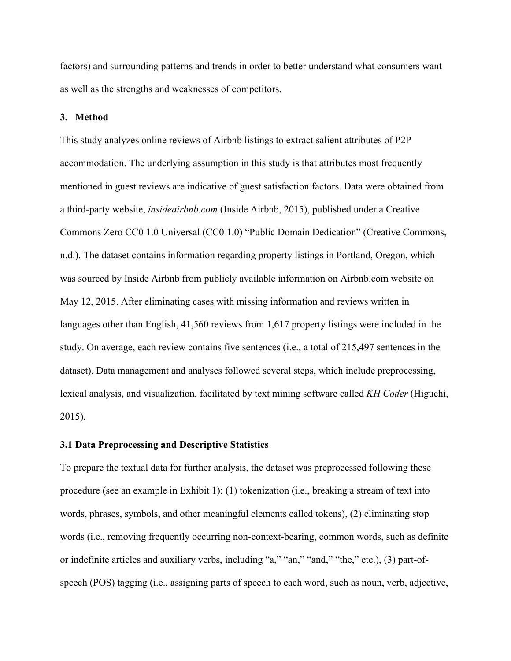factors) and surrounding patterns and trends in order to better understand what consumers want as well as the strengths and weaknesses of competitors.

### **3. Method**

This study analyzes online reviews of Airbnb listings to extract salient attributes of P2P accommodation. The underlying assumption in this study is that attributes most frequently mentioned in guest reviews are indicative of guest satisfaction factors. Data were obtained from a third-party website, *insideairbnb.com* (Inside Airbnb, 2015), published under a Creative Commons Zero CC0 1.0 Universal (CC0 1.0) "Public Domain Dedication" (Creative Commons, n.d.). The dataset contains information regarding property listings in Portland, Oregon, which was sourced by Inside Airbnb from publicly available information on Airbnb.com website on May 12, 2015. After eliminating cases with missing information and reviews written in languages other than English, 41,560 reviews from 1,617 property listings were included in the study. On average, each review contains five sentences (i.e., a total of 215,497 sentences in the dataset). Data management and analyses followed several steps, which include preprocessing, lexical analysis, and visualization, facilitated by text mining software called *KH Coder* (Higuchi, 2015).

### **3.1 Data Preprocessing and Descriptive Statistics**

To prepare the textual data for further analysis, the dataset was preprocessed following these procedure (see an example in Exhibit 1): (1) tokenization (i.e., breaking a stream of text into words, phrases, symbols, and other meaningful elements called tokens), (2) eliminating stop words (i.e., removing frequently occurring non-context-bearing, common words, such as definite or indefinite articles and auxiliary verbs, including "a," "an," "and," "the," etc.), (3) part-ofspeech (POS) tagging (i.e., assigning parts of speech to each word, such as noun, verb, adjective,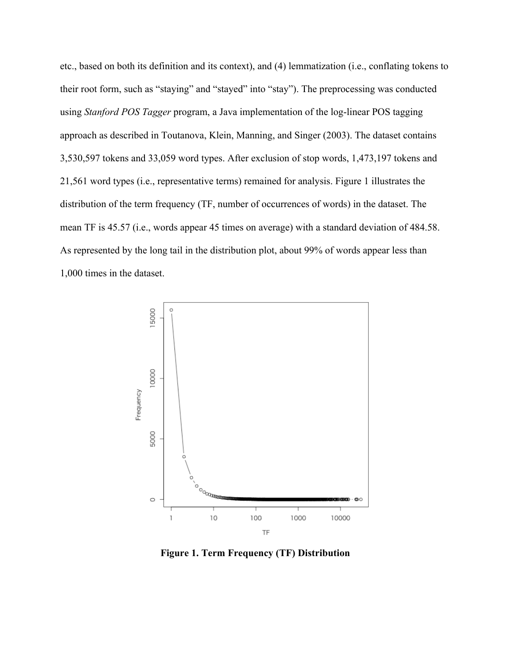etc., based on both its definition and its context), and (4) lemmatization (i.e., conflating tokens to their root form, such as "staying" and "stayed" into "stay"). The preprocessing was conducted using *Stanford POS Tagger* program, a Java implementation of the log-linear POS tagging approach as described in Toutanova, Klein, Manning, and Singer (2003). The dataset contains 3,530,597 tokens and 33,059 word types. After exclusion of stop words, 1,473,197 tokens and 21,561 word types (i.e., representative terms) remained for analysis. Figure 1 illustrates the distribution of the term frequency (TF, number of occurrences of words) in the dataset. The mean TF is 45.57 (i.e., words appear 45 times on average) with a standard deviation of 484.58. As represented by the long tail in the distribution plot, about 99% of words appear less than 1,000 times in the dataset.



**Figure 1. Term Frequency (TF) Distribution**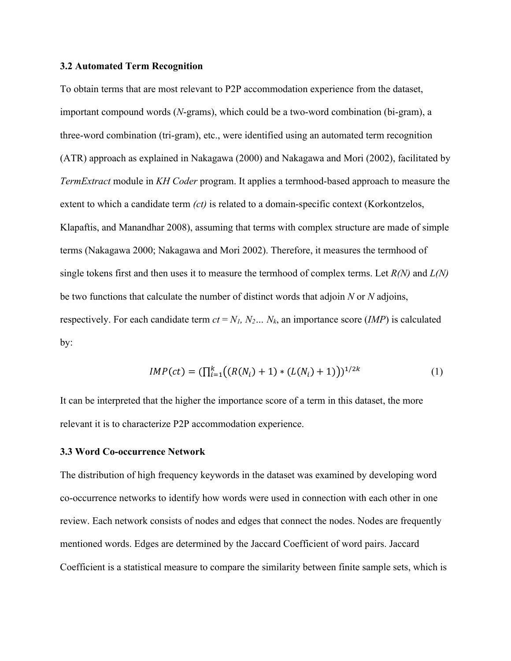### **3.2 Automated Term Recognition**

To obtain terms that are most relevant to P2P accommodation experience from the dataset, important compound words (*N*-grams), which could be a two-word combination (bi-gram), a three-word combination (tri-gram), etc., were identified using an automated term recognition (ATR) approach as explained in Nakagawa (2000) and Nakagawa and Mori (2002), facilitated by *TermExtract* module in *KH Coder* program. It applies a termhood-based approach to measure the extent to which a candidate term *(ct)* is related to a domain-specific context (Korkontzelos, Klapaftis, and Manandhar 2008), assuming that terms with complex structure are made of simple terms (Nakagawa 2000; Nakagawa and Mori 2002). Therefore, it measures the termhood of single tokens first and then uses it to measure the termhood of complex terms. Let *R(N)* and *L(N)* be two functions that calculate the number of distinct words that adjoin *N* or *N* adjoins, respectively. For each candidate term  $ct = N_1$ ,  $N_2... N_k$ , an importance score *(IMP)* is calculated by:

$$
IMP(ct) = (\prod_{i=1}^{k} \bigl( (R(N_i) + 1) * (L(N_i) + 1) \bigr))^{1/2k}
$$
 (1)

It can be interpreted that the higher the importance score of a term in this dataset, the more relevant it is to characterize P2P accommodation experience.

### **3.3 Word Co-occurrence Network**

The distribution of high frequency keywords in the dataset was examined by developing word co-occurrence networks to identify how words were used in connection with each other in one review. Each network consists of nodes and edges that connect the nodes. Nodes are frequently mentioned words. Edges are determined by the Jaccard Coefficient of word pairs. Jaccard Coefficient is a statistical measure to compare the similarity between finite sample sets, which is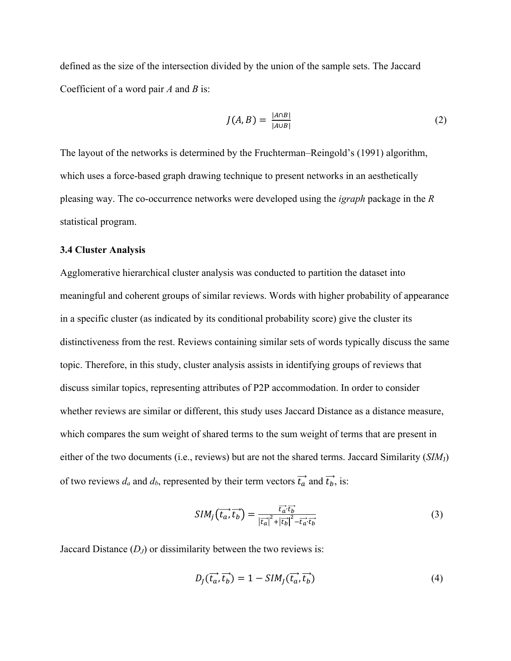defined as the size of the intersection divided by the union of the sample sets. The Jaccard Coefficient of a word pair *A* and *B* is:

$$
J(A,B) = \frac{|A \cap B|}{|A \cup B|} \tag{2}
$$

The layout of the networks is determined by the Fruchterman–Reingold's (1991) algorithm, which uses a force-based graph drawing technique to present networks in an aesthetically pleasing way. The co-occurrence networks were developed using the *igraph* package in the *R* statistical program.

# **3.4 Cluster Analysis**

Agglomerative hierarchical cluster analysis was conducted to partition the dataset into meaningful and coherent groups of similar reviews. Words with higher probability of appearance in a specific cluster (as indicated by its conditional probability score) give the cluster its distinctiveness from the rest. Reviews containing similar sets of words typically discuss the same topic. Therefore, in this study, cluster analysis assists in identifying groups of reviews that discuss similar topics, representing attributes of P2P accommodation. In order to consider whether reviews are similar or different, this study uses Jaccard Distance as a distance measure, which compares the sum weight of shared terms to the sum weight of terms that are present in either of the two documents (i.e., reviews) but are not the shared terms. Jaccard Similarity (*SIM*J) of two reviews  $d_a$  and  $d_b$ , represented by their term vectors  $\vec{t_a}$  and  $\vec{t_b}$ , is:

$$
SIM_j(\overrightarrow{t_a}, \overrightarrow{t_b}) = \frac{\overrightarrow{t_a} \cdot \overrightarrow{t_b}}{|\overrightarrow{t_a}|^2 + |\overrightarrow{t_b}|^2 - \overrightarrow{t_a} \cdot \overrightarrow{t_b}}
$$
(3)

Jaccard Distance  $(D_J)$  or dissimilarity between the two reviews is:

$$
D_J(\vec{t_a}, \vec{t_b}) = 1 - SIM_J(\vec{t_a}, \vec{t_b})
$$
\n<sup>(4)</sup>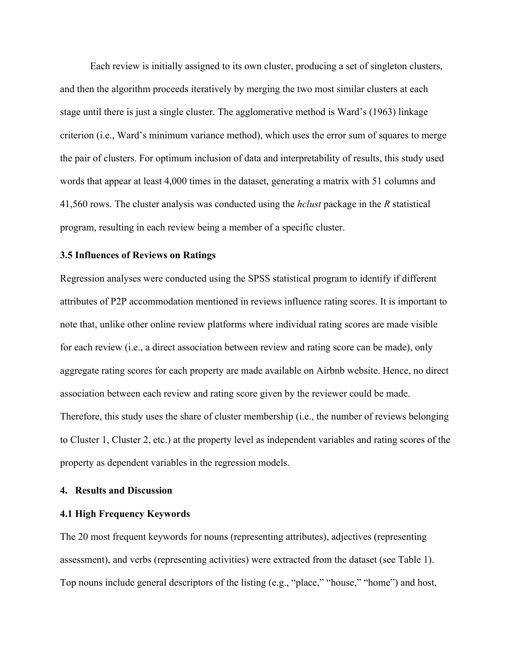Each review is initially assigned to its own cluster, producing a set of singleton clusters, and then the algorithm proceeds iteratively by merging the two most similar clusters at each stage until there is just a single cluster. The agglomerative method is Ward's (1963) linkage criterion (i.e., Ward's minimum variance method), which uses the error sum of squares to merge the pair of clusters. For optimum inclusion of data and interpretability of results, this study used words that appear at least 4,000 times in the dataset, generating a matrix with 51 columns and 41,560 rows. The cluster analysis was conducted using the *hclust* package in the *R* statistical program, resulting in each review being a member of a specific cluster.

## **3.5 Influences of Reviews on Ratings**

Regression analyses were conducted using the SPSS statistical program to identify if different attributes of P2P accommodation mentioned in reviews influence rating scores. It is important to note that, unlike other online review platforms where individual rating scores are made visible for each review (i.e., a direct association between review and rating score can be made), only aggregate rating scores for each property are made available on Airbnb website. Hence, no direct association between each review and rating score given by the reviewer could be made. Therefore, this study uses the share of cluster membership (i.e., the number of reviews belonging to Cluster 1, Cluster 2, etc.) at the property level as independent variables and rating scores of the property as dependent variables in the regression models.

### **4. Results and Discussion**

### **4.1 High Frequency Keywords**

The 20 most frequent keywords for nouns (representing attributes), adjectives (representing assessment), and verbs (representing activities) were extracted from the dataset (see Table 1). Top nouns include general descriptors of the listing (e.g., "place," "house," "home") and host,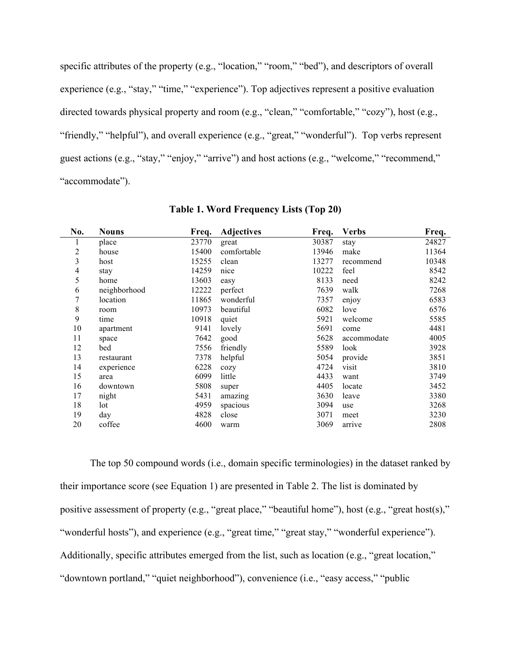specific attributes of the property (e.g., "location," "room," "bed"), and descriptors of overall experience (e.g., "stay," "time," "experience"). Top adjectives represent a positive evaluation directed towards physical property and room (e.g., "clean," "comfortable," "cozy"), host (e.g., "friendly," "helpful"), and overall experience (e.g., "great," "wonderful"). Top verbs represent guest actions (e.g., "stay," "enjoy," "arrive") and host actions (e.g., "welcome," "recommend," "accommodate").

| No. | <b>Nouns</b> | Freq. | <b>Adjectives</b> | Freq. | <b>Verbs</b> | Freq. |
|-----|--------------|-------|-------------------|-------|--------------|-------|
| 1   | place        | 23770 | great             | 30387 | stay         | 24827 |
| 2   | house        | 15400 | comfortable       | 13946 | make         | 11364 |
| 3   | host         | 15255 | clean             | 13277 | recommend    | 10348 |
| 4   | stay         | 14259 | nice              | 10222 | feel         | 8542  |
| 5   | home         | 13603 | easy              | 8133  | need         | 8242  |
| 6   | neighborhood | 12222 | perfect           | 7639  | walk         | 7268  |
| 7   | location     | 11865 | wonderful         | 7357  | enjoy        | 6583  |
| 8   | room         | 10973 | beautiful         | 6082  | love         | 6576  |
| 9   | time         | 10918 | quiet             | 5921  | welcome      | 5585  |
| 10  | apartment    | 9141  | lovely            | 5691  | come         | 4481  |
| 11  | space        | 7642  | good              | 5628  | accommodate  | 4005  |
| 12  | bed          | 7556  | friendly          | 5589  | look         | 3928  |
| 13  | restaurant   | 7378  | helpful           | 5054  | provide      | 3851  |
| 14  | experience   | 6228  | cozy              | 4724  | visit        | 3810  |
| 15  | area         | 6099  | little            | 4433  | want         | 3749  |
| 16  | downtown     | 5808  | super             | 4405  | locate       | 3452  |
| 17  | night        | 5431  | amazing           | 3630  | leave        | 3380  |
| 18  | lot          | 4959  | spacious          | 3094  | use          | 3268  |
| 19  | day          | 4828  | close             | 3071  | meet         | 3230  |
| 20  | coffee       | 4600  | warm              | 3069  | arrive       | 2808  |

**Table 1. Word Frequency Lists (Top 20)**

The top 50 compound words (i.e., domain specific terminologies) in the dataset ranked by their importance score (see Equation 1) are presented in Table 2. The list is dominated by positive assessment of property (e.g., "great place," "beautiful home"), host (e.g., "great host(s)," "wonderful hosts"), and experience (e.g., "great time," "great stay," "wonderful experience"). Additionally, specific attributes emerged from the list, such as location (e.g., "great location," "downtown portland," "quiet neighborhood"), convenience (i.e., "easy access," "public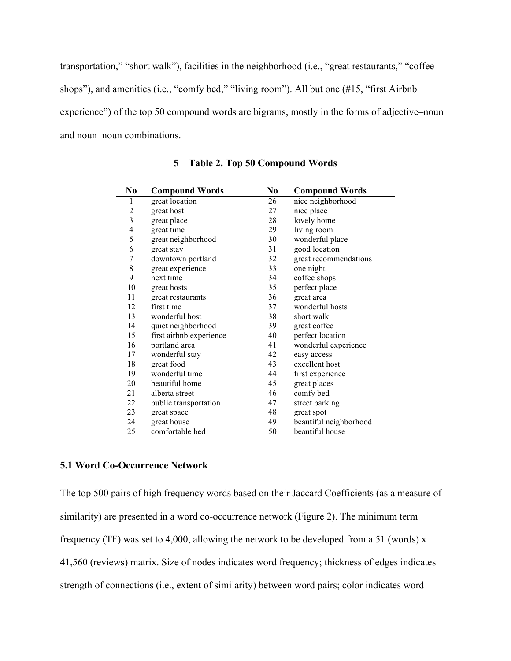transportation," "short walk"), facilities in the neighborhood (i.e., "great restaurants," "coffee shops"), and amenities (i.e., "comfy bed," "living room"). All but one (#15, "first Airbnb experience") of the top 50 compound words are bigrams, mostly in the forms of adjective–noun and noun–noun combinations.

| N <sub>0</sub> | <b>Compound Words</b>   | No | <b>Compound Words</b>  |
|----------------|-------------------------|----|------------------------|
| 1              | great location          | 26 | nice neighborhood      |
| $\overline{c}$ | great host              | 27 | nice place             |
| 3              | great place             | 28 | lovely home            |
| 4              | great time              | 29 | living room            |
| 5              | great neighborhood      | 30 | wonderful place        |
| 6              | great stay              | 31 | good location          |
| 7              | downtown portland       | 32 | great recommendations  |
| $\,$ $\,$      | great experience        | 33 | one night              |
| 9              | next time               | 34 | coffee shops           |
| 10             | great hosts             | 35 | perfect place          |
| 11             | great restaurants       | 36 | great area             |
| 12             | first time              | 37 | wonderful hosts        |
| 13             | wonderful host          | 38 | short walk             |
| 14             | quiet neighborhood      | 39 | great coffee           |
| 15             | first airbnb experience | 40 | perfect location       |
| 16             | portland area           | 41 | wonderful experience   |
| 17             | wonderful stay          | 42 | easy access            |
| 18             | great food              | 43 | excellent host         |
| 19             | wonderful time          | 44 | first experience       |
| 20             | beautiful home          | 45 | great places           |
| 21             | alberta street          | 46 | comfy bed              |
| 22             | public transportation   | 47 | street parking         |
| 23             | great space             | 48 | great spot             |
| 24             | great house             | 49 | beautiful neighborhood |
| 25             | comfortable bed         | 50 | beautiful house        |

# **Table 2. Top 50 Compound Words**

# **5.1 Word Co-Occurrence Network**

The top 500 pairs of high frequency words based on their Jaccard Coefficients (as a measure of similarity) are presented in a word co-occurrence network (Figure 2). The minimum term frequency (TF) was set to 4,000, allowing the network to be developed from a 51 (words) x 41,560 (reviews) matrix. Size of nodes indicates word frequency; thickness of edges indicates strength of connections (i.e., extent of similarity) between word pairs; color indicates word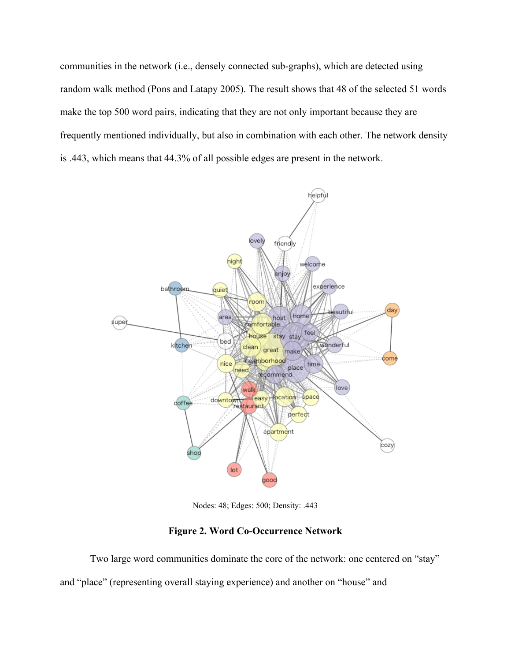communities in the network (i.e., densely connected sub-graphs), which are detected using random walk method (Pons and Latapy 2005). The result shows that 48 of the selected 51 words make the top 500 word pairs, indicating that they are not only important because they are frequently mentioned individually, but also in combination with each other. The network density is .443, which means that 44.3% of all possible edges are present in the network.



Nodes: 48; Edges: 500; Density: .443

# **Figure 2. Word Co-Occurrence Network**

Two large word communities dominate the core of the network: one centered on "stay" and "place" (representing overall staying experience) and another on "house" and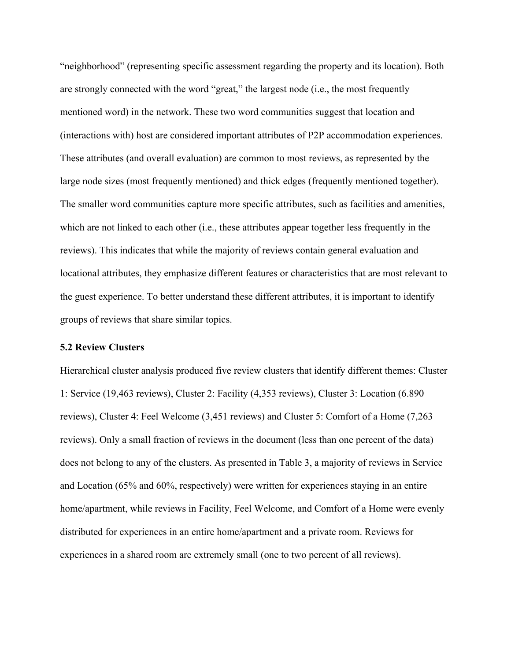"neighborhood" (representing specific assessment regarding the property and its location). Both are strongly connected with the word "great," the largest node (i.e., the most frequently mentioned word) in the network. These two word communities suggest that location and (interactions with) host are considered important attributes of P2P accommodation experiences. These attributes (and overall evaluation) are common to most reviews, as represented by the large node sizes (most frequently mentioned) and thick edges (frequently mentioned together). The smaller word communities capture more specific attributes, such as facilities and amenities, which are not linked to each other (i.e., these attributes appear together less frequently in the reviews). This indicates that while the majority of reviews contain general evaluation and locational attributes, they emphasize different features or characteristics that are most relevant to the guest experience. To better understand these different attributes, it is important to identify groups of reviews that share similar topics.

# **5.2 Review Clusters**

Hierarchical cluster analysis produced five review clusters that identify different themes: Cluster 1: Service (19,463 reviews), Cluster 2: Facility (4,353 reviews), Cluster 3: Location (6.890 reviews), Cluster 4: Feel Welcome (3,451 reviews) and Cluster 5: Comfort of a Home (7,263 reviews). Only a small fraction of reviews in the document (less than one percent of the data) does not belong to any of the clusters. As presented in Table 3, a majority of reviews in Service and Location (65% and 60%, respectively) were written for experiences staying in an entire home/apartment, while reviews in Facility, Feel Welcome, and Comfort of a Home were evenly distributed for experiences in an entire home/apartment and a private room. Reviews for experiences in a shared room are extremely small (one to two percent of all reviews).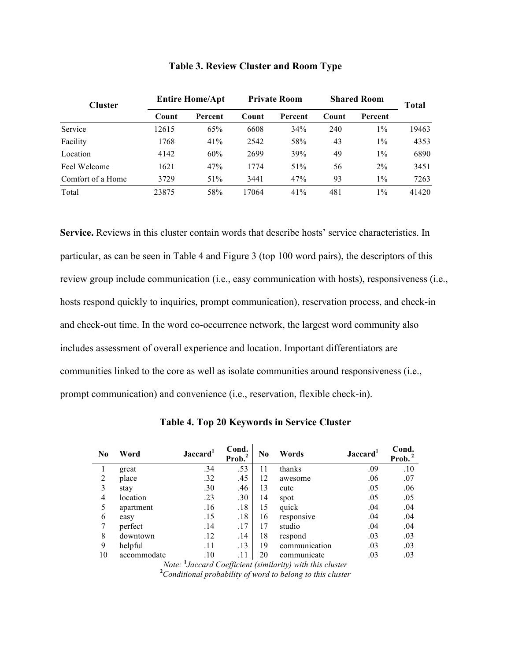| <b>Cluster</b>    | <b>Entire Home/Apt</b> |         | <b>Private Room</b> |         | <b>Shared Room</b> |         | Total |
|-------------------|------------------------|---------|---------------------|---------|--------------------|---------|-------|
|                   | Count                  | Percent | Count               | Percent | Count              | Percent |       |
| Service           | 12615                  | 65%     | 6608                | 34%     | 240                | $1\%$   | 19463 |
| Facility          | 1768                   | 41%     | 2542                | 58%     | 43                 | $1\%$   | 4353  |
| Location          | 4142                   | 60%     | 2699                | 39%     | 49                 | $1\%$   | 6890  |
| Feel Welcome      | 1621                   | 47%     | 1774                | 51%     | 56                 | $2\%$   | 3451  |
| Comfort of a Home | 3729                   | 51%     | 3441                | 47%     | 93                 | $1\%$   | 7263  |
| Total             | 23875                  | 58%     | 17064               | 41%     | 481                | $1\%$   | 41420 |

# **Table 3. Review Cluster and Room Type**

**Service.** Reviews in this cluster contain words that describe hosts' service characteristics. In particular, as can be seen in Table 4 and Figure 3 (top 100 word pairs), the descriptors of this review group include communication (i.e., easy communication with hosts), responsiveness (i.e., hosts respond quickly to inquiries, prompt communication), reservation process, and check-in and check-out time. In the word co-occurrence network, the largest word community also includes assessment of overall experience and location. Important differentiators are communities linked to the core as well as isolate communities around responsiveness (i.e., prompt communication) and convenience (i.e., reservation, flexible check-in).

| $\bf No$ | Word        | Jaccard <sup>1</sup> | Cond.<br>$Prob.2$ | N <sub>0</sub> | Words                                                                 | Jaccard <sup>1</sup> | Cond.<br>$Prob. 2$ |
|----------|-------------|----------------------|-------------------|----------------|-----------------------------------------------------------------------|----------------------|--------------------|
| 1        | great       | .34                  | .53               | 11             | thanks                                                                | .09                  | .10                |
| 2        | place       | .32                  | .45               | 12             | awesome                                                               | .06                  | .07                |
| 3        | stay        | .30                  | .46               | 13             | cute                                                                  | .05                  | .06                |
| 4        | location    | .23                  | .30               | 14             | spot                                                                  | .05                  | .05                |
| 5        | apartment   | .16                  | .18               | 15             | quick                                                                 | .04                  | .04                |
| 6        | easy        | .15                  | .18               | 16             | responsive                                                            | .04                  | .04                |
| 7        | perfect     | .14                  | .17               | 17             | studio                                                                | .04                  | .04                |
| 8        | downtown    | .12                  | .14               | 18             | respond                                                               | .03                  | .03                |
| 9        | helpful     | .11                  | .13               | 19             | communication                                                         | .03                  | .03                |
| 10       | accommodate | .10                  | .11               | 20             | communicate                                                           | .03                  | .03                |
|          |             |                      |                   |                | Note: <sup>1</sup> Jaccard Coefficient (similarity) with this cluster |                      |                    |

**Table 4. Top 20 Keywords in Service Cluster**

*Note:* **<sup>1</sup>** *Jaccard Coefficient (similarity) with this cluster* **<sup>2</sup>** *Conditional probability of word to belong to this cluster*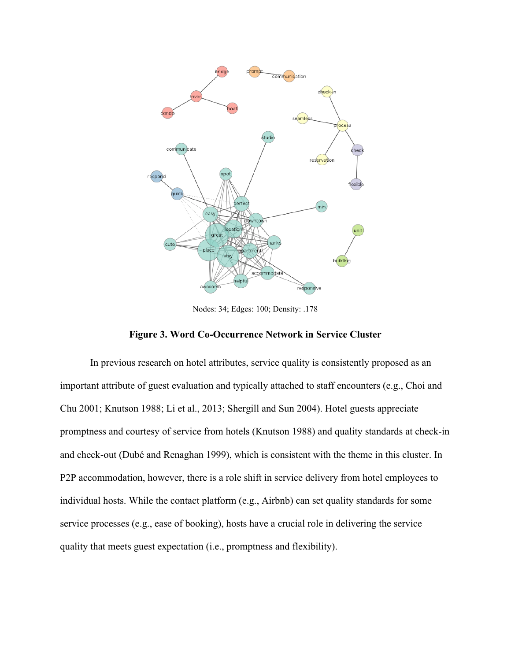

Nodes: 34; Edges: 100; Density: .178



In previous research on hotel attributes, service quality is consistently proposed as an important attribute of guest evaluation and typically attached to staff encounters (e.g., Choi and Chu 2001; Knutson 1988; Li et al., 2013; Shergill and Sun 2004). Hotel guests appreciate promptness and courtesy of service from hotels (Knutson 1988) and quality standards at check-in and check-out (Dubé and Renaghan 1999), which is consistent with the theme in this cluster. In P2P accommodation, however, there is a role shift in service delivery from hotel employees to individual hosts. While the contact platform (e.g., Airbnb) can set quality standards for some service processes (e.g., ease of booking), hosts have a crucial role in delivering the service quality that meets guest expectation (i.e., promptness and flexibility).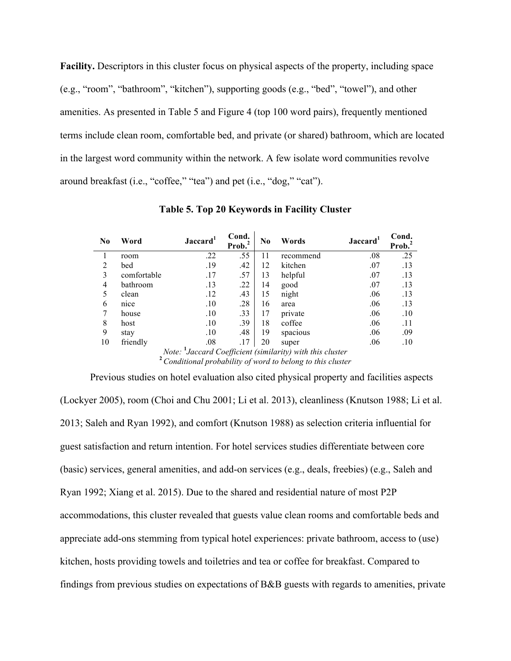**Facility.** Descriptors in this cluster focus on physical aspects of the property, including space (e.g., "room", "bathroom", "kitchen"), supporting goods (e.g., "bed", "towel"), and other amenities. As presented in Table 5 and Figure 4 (top 100 word pairs), frequently mentioned terms include clean room, comfortable bed, and private (or shared) bathroom, which are located in the largest word community within the network. A few isolate word communities revolve around breakfast (i.e., "coffee," "tea") and pet (i.e., "dog," "cat").

| N <sub>0</sub> | Word                                                                  | Jaccard <sup>1</sup>                                      | Cond.<br>Prob. <sup>2</sup> | $\bf No$ | Words     | Jaccard <sup>1</sup> | Cond.<br>Prob. |  |  |  |  |
|----------------|-----------------------------------------------------------------------|-----------------------------------------------------------|-----------------------------|----------|-----------|----------------------|----------------|--|--|--|--|
|                | room                                                                  | .22                                                       | .55                         | 11       | recommend | .08                  | .25            |  |  |  |  |
| $\overline{2}$ | bed                                                                   | .19                                                       | .42                         | 12       | kitchen   | .07                  | .13            |  |  |  |  |
| 3              | comfortable                                                           | .17                                                       | .57                         | 13       | helpful   | .07                  | .13            |  |  |  |  |
| 4              | bathroom                                                              | .13                                                       | .22                         | 14       | good      | .07                  | .13            |  |  |  |  |
| 5              | clean                                                                 | .12                                                       | .43                         | 15       | night     | .06                  | .13            |  |  |  |  |
| 6              | nice                                                                  | .10                                                       | .28                         | 16       | area      | .06                  | .13            |  |  |  |  |
| 7              | house                                                                 | .10                                                       | .33                         | 17       | private   | .06                  | .10            |  |  |  |  |
| 8              | host                                                                  | .10                                                       | .39                         | 18       | coffee    | .06                  | .11            |  |  |  |  |
| 9              | stay                                                                  | .10                                                       | .48                         | 19       | spacious  | .06                  | .09            |  |  |  |  |
| 10             | friendly                                                              | .08                                                       | .17                         | 20       | super     | .06                  | .10            |  |  |  |  |
|                | Note: <sup>1</sup> Jaccard Coefficient (similarity) with this cluster |                                                           |                             |          |           |                      |                |  |  |  |  |
|                |                                                                       | Conditional probability of word to belong to this cluster |                             |          |           |                      |                |  |  |  |  |

**Table 5. Top 20 Keywords in Facility Cluster**

Previous studies on hotel evaluation also cited physical property and facilities aspects (Lockyer 2005), room (Choi and Chu 2001; Li et al. 2013), cleanliness (Knutson 1988; Li et al. 2013; Saleh and Ryan 1992), and comfort (Knutson 1988) as selection criteria influential for guest satisfaction and return intention. For hotel services studies differentiate between core (basic) services, general amenities, and add-on services (e.g., deals, freebies) (e.g., Saleh and Ryan 1992; Xiang et al. 2015). Due to the shared and residential nature of most P2P accommodations, this cluster revealed that guests value clean rooms and comfortable beds and appreciate add-ons stemming from typical hotel experiences: private bathroom, access to (use) kitchen, hosts providing towels and toiletries and tea or coffee for breakfast. Compared to findings from previous studies on expectations of B&B guests with regards to amenities, private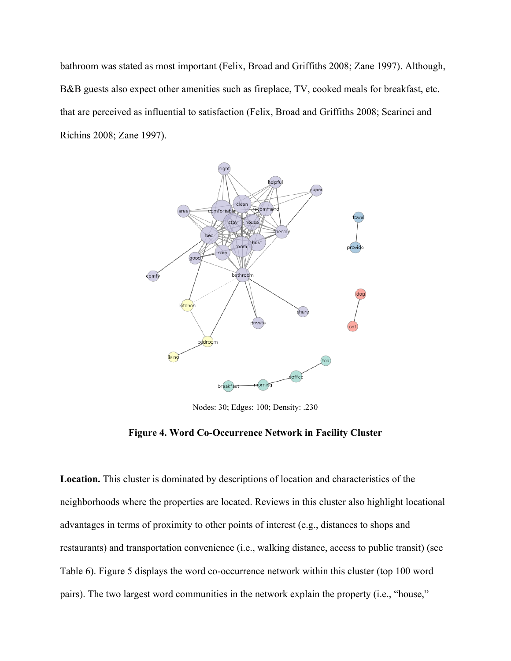bathroom was stated as most important (Felix, Broad and Griffiths 2008; Zane 1997). Although, B&B guests also expect other amenities such as fireplace, TV, cooked meals for breakfast, etc. that are perceived as influential to satisfaction (Felix, Broad and Griffiths 2008; Scarinci and Richins 2008; Zane 1997).



Nodes: 30; Edges: 100; Density: .230

# **Figure 4. Word Co-Occurrence Network in Facility Cluster**

**Location.** This cluster is dominated by descriptions of location and characteristics of the neighborhoods where the properties are located. Reviews in this cluster also highlight locational advantages in terms of proximity to other points of interest (e.g., distances to shops and restaurants) and transportation convenience (i.e., walking distance, access to public transit) (see Table 6). Figure 5 displays the word co-occurrence network within this cluster (top 100 word pairs). The two largest word communities in the network explain the property (i.e., "house,"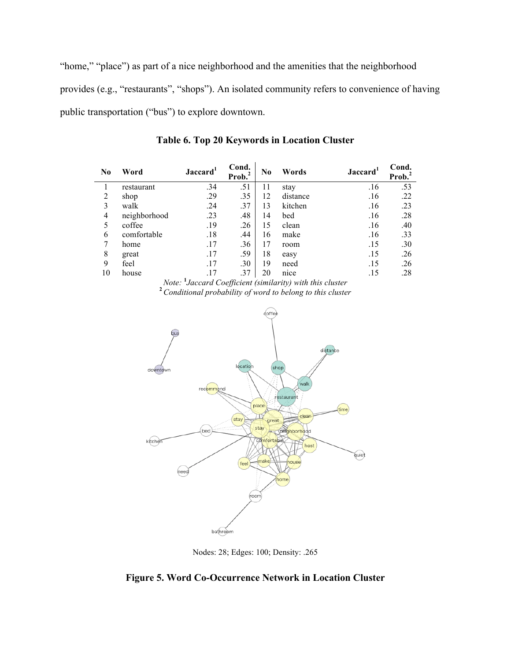"home," "place") as part of a nice neighborhood and the amenities that the neighborhood provides (e.g., "restaurants", "shops"). An isolated community refers to convenience of having public transportation ("bus") to explore downtown.

| N <sub>0</sub> | Word         | Jaccard <sup>1</sup> | Cond.<br>Prob. <sup>2</sup> | $\bf No$ | Jaccard <sup>1</sup><br>Words |     | Cond.<br>Prob. <sup>2</sup> |
|----------------|--------------|----------------------|-----------------------------|----------|-------------------------------|-----|-----------------------------|
|                | restaurant   | .34                  | .51                         | 11       | stay                          | .16 | .53                         |
| 2              | shop         | .29                  | .35                         | 12       | distance                      | .16 | .22                         |
| 3              | walk         | .24                  | .37                         | 13       | kitchen                       | .16 | .23                         |
| 4              | neighborhood | .23                  | .48                         | 14       | bed                           | .16 | .28                         |
| 5              | coffee       | .19                  | .26                         | 15       | clean                         | .16 | .40                         |
| 6              | comfortable  | .18                  | .44                         | 16       | make                          | .16 | .33                         |
|                | home         | .17                  | .36                         | 17       | room                          | .15 | .30                         |
| 8              | great        | .17                  | .59                         | 18       | easy                          | .15 | .26                         |
| 9              | feel         | .17                  | .30                         | 19       | need                          | .15 | .26                         |
| 10             | house        | .17                  | .37                         | 20       | nice                          | .15 | .28                         |

**Table 6. Top 20 Keywords in Location Cluster**

*Note:* **<sup>1</sup>** *Jaccard Coefficient (similarity) with this cluster* **<sup>2</sup>***Conditional probability of word to belong to this cluster*



Nodes: 28; Edges: 100; Density: .265

**Figure 5. Word Co-Occurrence Network in Location Cluster**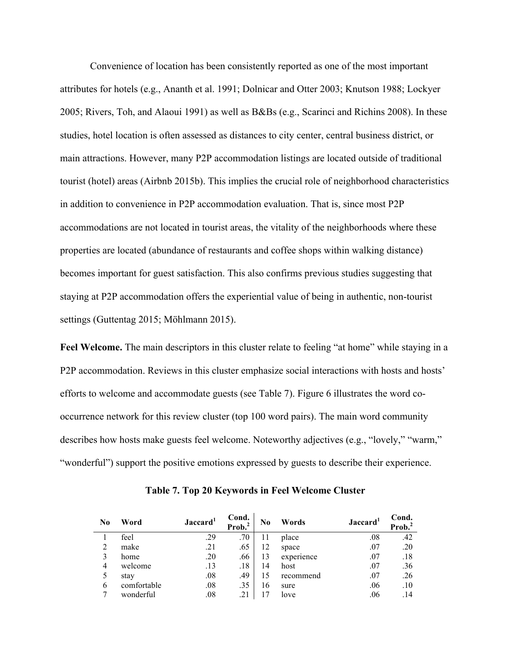Convenience of location has been consistently reported as one of the most important attributes for hotels (e.g., Ananth et al. 1991; Dolnicar and Otter 2003; Knutson 1988; Lockyer 2005; Rivers, Toh, and Alaoui 1991) as well as B&Bs (e.g., Scarinci and Richins 2008). In these studies, hotel location is often assessed as distances to city center, central business district, or main attractions. However, many P2P accommodation listings are located outside of traditional tourist (hotel) areas (Airbnb 2015b). This implies the crucial role of neighborhood characteristics in addition to convenience in P2P accommodation evaluation. That is, since most P2P accommodations are not located in tourist areas, the vitality of the neighborhoods where these properties are located (abundance of restaurants and coffee shops within walking distance) becomes important for guest satisfaction. This also confirms previous studies suggesting that staying at P2P accommodation offers the experiential value of being in authentic, non-tourist settings (Guttentag 2015; Möhlmann 2015).

Feel Welcome. The main descriptors in this cluster relate to feeling "at home" while staying in a P2P accommodation. Reviews in this cluster emphasize social interactions with hosts and hosts' efforts to welcome and accommodate guests (see Table 7). Figure 6 illustrates the word cooccurrence network for this review cluster (top 100 word pairs). The main word community describes how hosts make guests feel welcome. Noteworthy adjectives (e.g., "lovely," "warm," "wonderful") support the positive emotions expressed by guests to describe their experience.

| $\bf No$ | Word        | Jaccard <sup>1</sup> | Cond.<br>Prob. <sup>2</sup> | N <sub>0</sub> | Words      | Jaccard <sup>1</sup> | Cond.<br>Prob. |
|----------|-------------|----------------------|-----------------------------|----------------|------------|----------------------|----------------|
|          | feel        | .29                  | .70                         | 11             | place      | .08                  | .42            |
| 2        | make        | .21                  | .65                         | 12             | space      | .07                  | .20            |
|          | home        | .20                  | .66                         | 13             | experience | .07                  | .18            |
| 4        | welcome     | .13                  | .18                         | 14             | host       | .07                  | .36            |
|          | stay        | .08                  | .49                         | 15             | recommend  | .07                  | .26            |
| 6        | comfortable | .08                  | .35                         | 16             | sure       | .06                  | .10            |
|          | wonderful   | $_{.08}$             | .21                         |                | love       | .06                  | .14            |

**Table 7. Top 20 Keywords in Feel Welcome Cluster**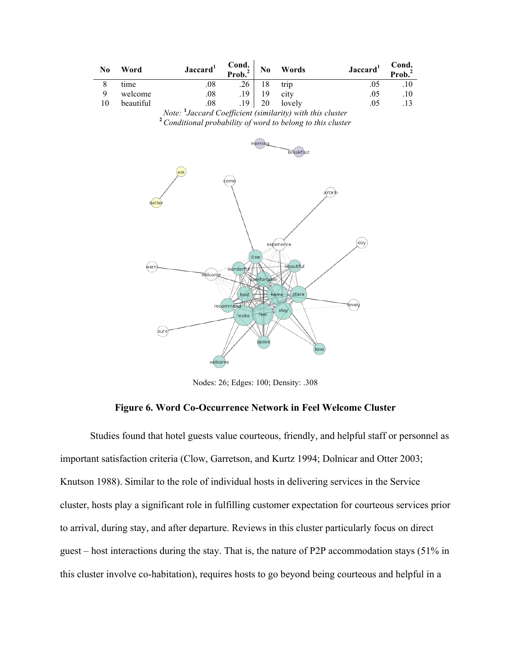| N <sub>0</sub> | Word      |      | Jaccard <sup>1</sup> | Cond.<br>Prob. <sup>2</sup> | No | Words  | Jaccard <sup>1</sup> | Cond.<br>Prob. <sup>2</sup> |
|----------------|-----------|------|----------------------|-----------------------------|----|--------|----------------------|-----------------------------|
|                | time      |      | .08                  | .26                         | 18 | trip   |                      |                             |
|                | welcome   |      | .08                  | 19                          | 19 | city   | .05                  | .10                         |
| 10             | beautiful |      | 08                   | 19                          | 20 | lovely | .05                  |                             |
|                |           | $ -$ | . .                  |                             |    | .      |                      |                             |

*Note:* <sup>1</sup>*Jaccard Coefficient (similarity) with this cluster Jaccard Coefficient (similarity) with this cluster* **<sup>2</sup>***Conditional probability of word to belong to this cluster*



Nodes: 26; Edges: 100; Density: .308

# **Figure 6. Word Co-Occurrence Network in Feel Welcome Cluster**

Studies found that hotel guests value courteous, friendly, and helpful staff or personnel as important satisfaction criteria (Clow, Garretson, and Kurtz 1994; Dolnicar and Otter 2003; Knutson 1988). Similar to the role of individual hosts in delivering services in the Service cluster, hosts play a significant role in fulfilling customer expectation for courteous services prior to arrival, during stay, and after departure. Reviews in this cluster particularly focus on direct guest – host interactions during the stay. That is, the nature of P2P accommodation stays (51% in this cluster involve co-habitation), requires hosts to go beyond being courteous and helpful in a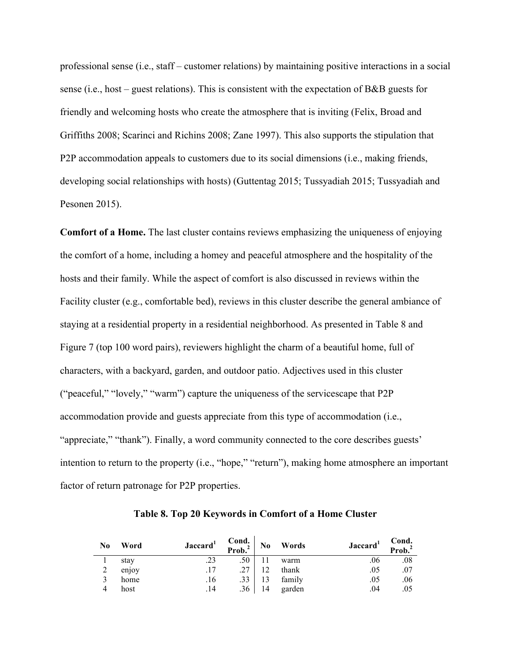professional sense (i.e., staff – customer relations) by maintaining positive interactions in a social sense (i.e., host – guest relations). This is consistent with the expectation of B&B guests for friendly and welcoming hosts who create the atmosphere that is inviting (Felix, Broad and Griffiths 2008; Scarinci and Richins 2008; Zane 1997). This also supports the stipulation that P2P accommodation appeals to customers due to its social dimensions (i.e., making friends, developing social relationships with hosts) (Guttentag 2015; Tussyadiah 2015; Tussyadiah and Pesonen 2015).

**Comfort of a Home.** The last cluster contains reviews emphasizing the uniqueness of enjoying the comfort of a home, including a homey and peaceful atmosphere and the hospitality of the hosts and their family. While the aspect of comfort is also discussed in reviews within the Facility cluster (e.g., comfortable bed), reviews in this cluster describe the general ambiance of staying at a residential property in a residential neighborhood. As presented in Table 8 and Figure 7 (top 100 word pairs), reviewers highlight the charm of a beautiful home, full of characters, with a backyard, garden, and outdoor patio. Adjectives used in this cluster ("peaceful," "lovely," "warm") capture the uniqueness of the servicescape that P2P accommodation provide and guests appreciate from this type of accommodation (i.e., "appreciate," "thank"). Finally, a word community connected to the core describes guests' intention to return to the property (i.e., "hope," "return"), making home atmosphere an important factor of return patronage for P2P properties.

| N <sub>0</sub> | Word  | Jaccard <sup>1</sup> | Cond.<br>Prob. <sup>2</sup> | N <sub>0</sub> | Words  | Jaccard <sup>1</sup> | Cond.<br>Prob. <sup>2</sup> |
|----------------|-------|----------------------|-----------------------------|----------------|--------|----------------------|-----------------------------|
|                | stay  |                      | .50                         |                | warm   | .06                  | .08                         |
| ◠              | enjoy |                      |                             | 12             | thank  | .05                  | .07                         |
|                | home  | .16                  |                             | 13             | family | .05                  | .06                         |
| 4              | host  | .14                  | .36                         | 14             | garden | .04                  | .05                         |

**Table 8. Top 20 Keywords in Comfort of a Home Cluster**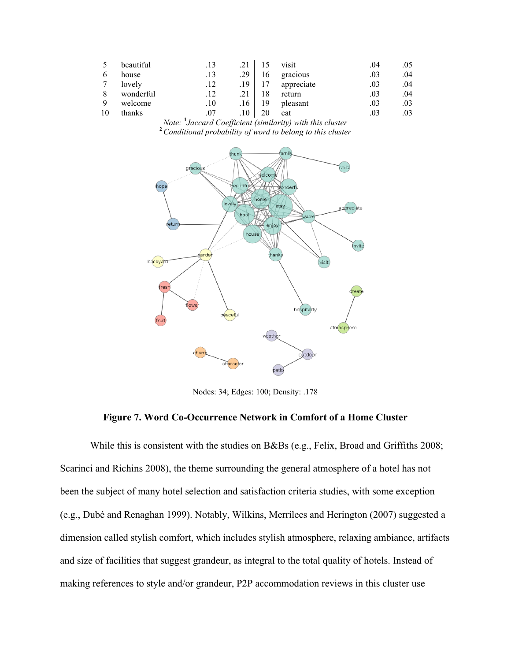|    | beautiful |     | .13 |     |    | visit      | .04 | .05 |
|----|-----------|-----|-----|-----|----|------------|-----|-----|
|    | house     |     | .13 | .29 | 16 | gracious   | .03 | .04 |
|    | lovely    |     | .12 | .19 |    | appreciate | .03 | .04 |
|    | wonderful |     | .12 |     | 18 | return     | .03 | .04 |
|    | welcome   |     | .10 | .16 | 19 | pleasant   | .03 | .03 |
| 10 | thanks    | . . | .07 | .10 |    | cat        | .03 | .03 |

*Note:* <sup>1</sup>*Jaccard Coefficient (similarity) with this cluster Jaccard Coefficient (similarity) with this cluster* **<sup>2</sup>***Conditional probability of word to belong to this cluster*



Nodes: 34; Edges: 100; Density: .178

# **Figure 7. Word Co-Occurrence Network in Comfort of a Home Cluster**

While this is consistent with the studies on B&Bs (e.g., Felix, Broad and Griffiths 2008; Scarinci and Richins 2008), the theme surrounding the general atmosphere of a hotel has not been the subject of many hotel selection and satisfaction criteria studies, with some exception (e.g., Dubé and Renaghan 1999). Notably, Wilkins, Merrilees and Herington (2007) suggested a dimension called stylish comfort, which includes stylish atmosphere, relaxing ambiance, artifacts and size of facilities that suggest grandeur, as integral to the total quality of hotels. Instead of making references to style and/or grandeur, P2P accommodation reviews in this cluster use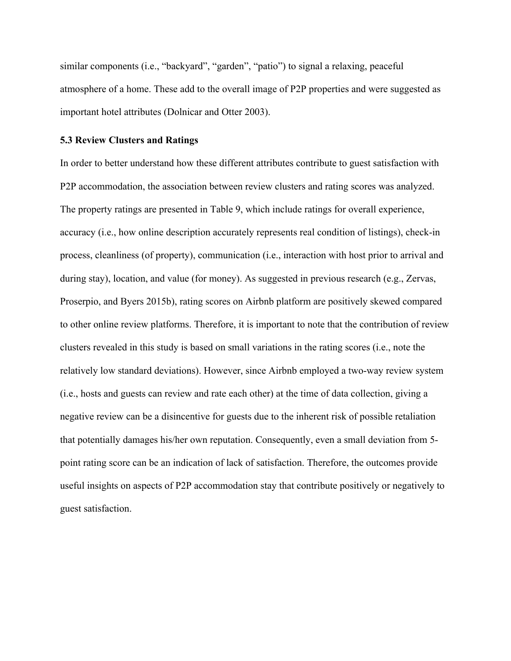similar components (i.e., "backyard", "garden", "patio") to signal a relaxing, peaceful atmosphere of a home. These add to the overall image of P2P properties and were suggested as important hotel attributes (Dolnicar and Otter 2003).

# **5.3 Review Clusters and Ratings**

In order to better understand how these different attributes contribute to guest satisfaction with P2P accommodation, the association between review clusters and rating scores was analyzed. The property ratings are presented in Table 9, which include ratings for overall experience, accuracy (i.e., how online description accurately represents real condition of listings), check-in process, cleanliness (of property), communication (i.e., interaction with host prior to arrival and during stay), location, and value (for money). As suggested in previous research (e.g., Zervas, Proserpio, and Byers 2015b), rating scores on Airbnb platform are positively skewed compared to other online review platforms. Therefore, it is important to note that the contribution of review clusters revealed in this study is based on small variations in the rating scores (i.e., note the relatively low standard deviations). However, since Airbnb employed a two-way review system (i.e., hosts and guests can review and rate each other) at the time of data collection, giving a negative review can be a disincentive for guests due to the inherent risk of possible retaliation that potentially damages his/her own reputation. Consequently, even a small deviation from 5 point rating score can be an indication of lack of satisfaction. Therefore, the outcomes provide useful insights on aspects of P2P accommodation stay that contribute positively or negatively to guest satisfaction.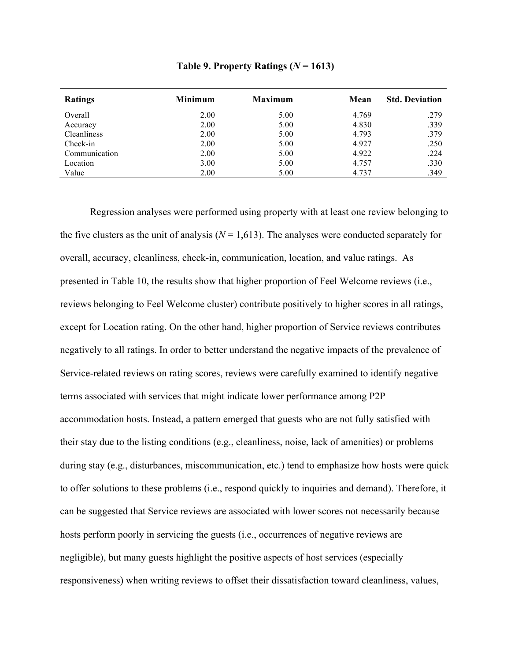|  | Table 9. Property Ratings ( $N = 1613$ ) |  |  |  |
|--|------------------------------------------|--|--|--|
|--|------------------------------------------|--|--|--|

| <b>Ratings</b>     | <b>Minimum</b> | <b>Maximum</b> | Mean  | <b>Std. Deviation</b> |
|--------------------|----------------|----------------|-------|-----------------------|
| Overall            | 2.00           | 5.00           | 4.769 | .279                  |
| Accuracy           | 2.00           | 5.00           | 4.830 | .339                  |
| <b>Cleanliness</b> | 2.00           | 5.00           | 4.793 | .379                  |
| Check-in           | 2.00           | 5.00           | 4.927 | .250                  |
| Communication      | 2.00           | 5.00           | 4.922 | .224                  |
| Location           | 3.00           | 5.00           | 4.757 | .330                  |
| Value              | 2.00           | 5.00           | 4.737 | .349                  |

Regression analyses were performed using property with at least one review belonging to the five clusters as the unit of analysis  $(N = 1,613)$ . The analyses were conducted separately for overall, accuracy, cleanliness, check-in, communication, location, and value ratings. As presented in Table 10, the results show that higher proportion of Feel Welcome reviews (i.e., reviews belonging to Feel Welcome cluster) contribute positively to higher scores in all ratings, except for Location rating. On the other hand, higher proportion of Service reviews contributes negatively to all ratings. In order to better understand the negative impacts of the prevalence of Service-related reviews on rating scores, reviews were carefully examined to identify negative terms associated with services that might indicate lower performance among P2P accommodation hosts. Instead, a pattern emerged that guests who are not fully satisfied with their stay due to the listing conditions (e.g., cleanliness, noise, lack of amenities) or problems during stay (e.g., disturbances, miscommunication, etc.) tend to emphasize how hosts were quick to offer solutions to these problems (i.e., respond quickly to inquiries and demand). Therefore, it can be suggested that Service reviews are associated with lower scores not necessarily because hosts perform poorly in servicing the guests (i.e., occurrences of negative reviews are negligible), but many guests highlight the positive aspects of host services (especially responsiveness) when writing reviews to offset their dissatisfaction toward cleanliness, values,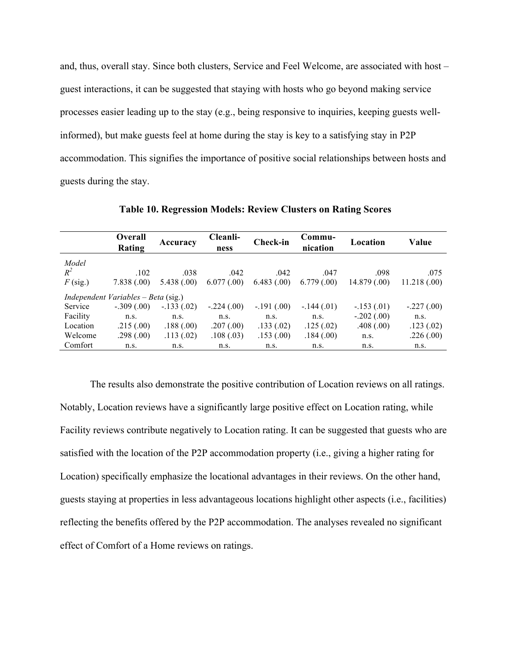and, thus, overall stay. Since both clusters, Service and Feel Welcome, are associated with host – guest interactions, it can be suggested that staying with hosts who go beyond making service processes easier leading up to the stay (e.g., being responsive to inquiries, keeping guests wellinformed), but make guests feel at home during the stay is key to a satisfying stay in P2P accommodation. This signifies the importance of positive social relationships between hosts and guests during the stay.

|            | <b>Overall</b><br>Rating            | Accuracy     | Cleanli-<br>ness | Check-in     | Commu-<br>nication | Location     | Value        |
|------------|-------------------------------------|--------------|------------------|--------------|--------------------|--------------|--------------|
| Model      |                                     |              |                  |              |                    |              |              |
| $R^2$      | .102                                | .038         | .042             | .042         | .047               | .098         | .075         |
| $F$ (sig.) | 7.838(.00)                          | 5.438(.00)   | 6.077(0.00)      | 6.483(0.00)  | 6.779(0.00)        | 14.879(0.00) | 11.218(.00)  |
|            | Independent Variables – Beta (sig.) |              |                  |              |                    |              |              |
| Service    | $-.309(.00)$                        | $-.133(.02)$ | $-.224(.00)$     | $-.191(.00)$ | $-.144(.01)$       | $-.153(.01)$ | $-.227(.00)$ |
| Facility   | n.s.                                | n.s.         | n.s.             | n.s.         | n.s.               | $-.202(.00)$ | n.s.         |
| Location   | .215(.00)                           | .188(.00)    | .207(.00)        | .133(.02)    | .125(.02)          | .408(.00)    | .123(.02)    |
| Welcome    | .298(.00)                           | .113(.02)    | .108(.03)        | .153(.00)    | .184(.00)          | n.s.         | .226(.00)    |
| Comfort    | n.s.                                | n.s.         | n.s.             | n.s.         | n.s.               | n.s.         | n.s.         |

**Table 10. Regression Models: Review Clusters on Rating Scores** 

The results also demonstrate the positive contribution of Location reviews on all ratings. Notably, Location reviews have a significantly large positive effect on Location rating, while Facility reviews contribute negatively to Location rating. It can be suggested that guests who are satisfied with the location of the P2P accommodation property (i.e., giving a higher rating for Location) specifically emphasize the locational advantages in their reviews. On the other hand, guests staying at properties in less advantageous locations highlight other aspects (i.e., facilities) reflecting the benefits offered by the P2P accommodation. The analyses revealed no significant effect of Comfort of a Home reviews on ratings.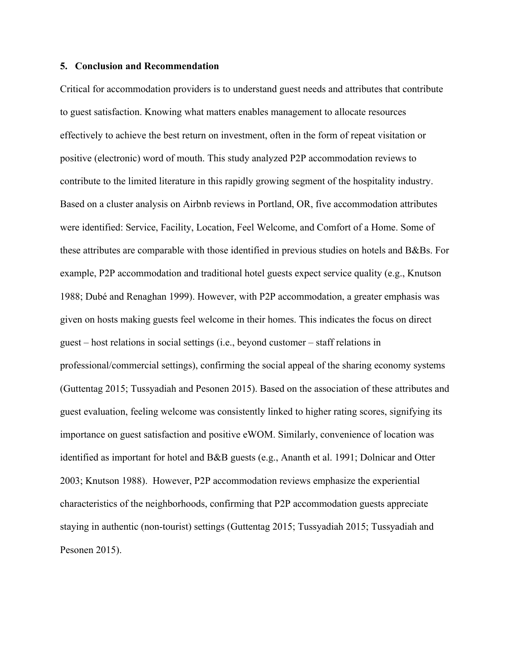### **5. Conclusion and Recommendation**

Critical for accommodation providers is to understand guest needs and attributes that contribute to guest satisfaction. Knowing what matters enables management to allocate resources effectively to achieve the best return on investment, often in the form of repeat visitation or positive (electronic) word of mouth. This study analyzed P2P accommodation reviews to contribute to the limited literature in this rapidly growing segment of the hospitality industry. Based on a cluster analysis on Airbnb reviews in Portland, OR, five accommodation attributes were identified: Service, Facility, Location, Feel Welcome, and Comfort of a Home. Some of these attributes are comparable with those identified in previous studies on hotels and B&Bs. For example, P2P accommodation and traditional hotel guests expect service quality (e.g., Knutson 1988; Dubé and Renaghan 1999). However, with P2P accommodation, a greater emphasis was given on hosts making guests feel welcome in their homes. This indicates the focus on direct guest – host relations in social settings (i.e., beyond customer – staff relations in professional/commercial settings), confirming the social appeal of the sharing economy systems (Guttentag 2015; Tussyadiah and Pesonen 2015). Based on the association of these attributes and guest evaluation, feeling welcome was consistently linked to higher rating scores, signifying its importance on guest satisfaction and positive eWOM. Similarly, convenience of location was identified as important for hotel and B&B guests (e.g., Ananth et al. 1991; Dolnicar and Otter 2003; Knutson 1988). However, P2P accommodation reviews emphasize the experiential characteristics of the neighborhoods, confirming that P2P accommodation guests appreciate staying in authentic (non-tourist) settings (Guttentag 2015; Tussyadiah 2015; Tussyadiah and Pesonen 2015).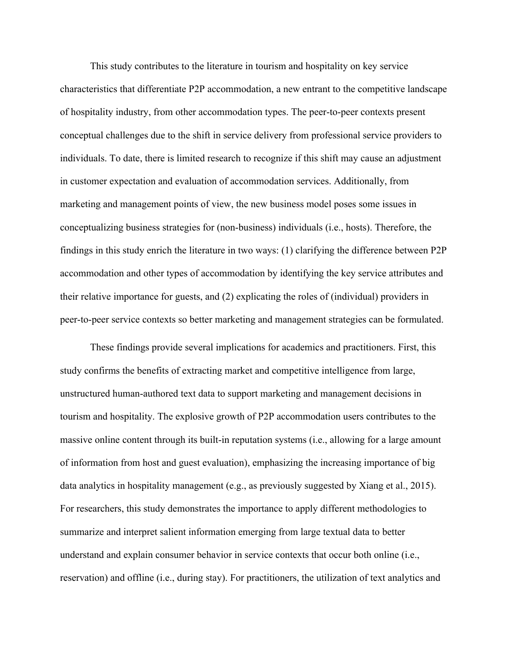This study contributes to the literature in tourism and hospitality on key service characteristics that differentiate P2P accommodation, a new entrant to the competitive landscape of hospitality industry, from other accommodation types. The peer-to-peer contexts present conceptual challenges due to the shift in service delivery from professional service providers to individuals. To date, there is limited research to recognize if this shift may cause an adjustment in customer expectation and evaluation of accommodation services. Additionally, from marketing and management points of view, the new business model poses some issues in conceptualizing business strategies for (non-business) individuals (i.e., hosts). Therefore, the findings in this study enrich the literature in two ways: (1) clarifying the difference between P2P accommodation and other types of accommodation by identifying the key service attributes and their relative importance for guests, and (2) explicating the roles of (individual) providers in peer-to-peer service contexts so better marketing and management strategies can be formulated.

These findings provide several implications for academics and practitioners. First, this study confirms the benefits of extracting market and competitive intelligence from large, unstructured human-authored text data to support marketing and management decisions in tourism and hospitality. The explosive growth of P2P accommodation users contributes to the massive online content through its built-in reputation systems (i.e., allowing for a large amount of information from host and guest evaluation), emphasizing the increasing importance of big data analytics in hospitality management (e.g., as previously suggested by Xiang et al., 2015). For researchers, this study demonstrates the importance to apply different methodologies to summarize and interpret salient information emerging from large textual data to better understand and explain consumer behavior in service contexts that occur both online (i.e., reservation) and offline (i.e., during stay). For practitioners, the utilization of text analytics and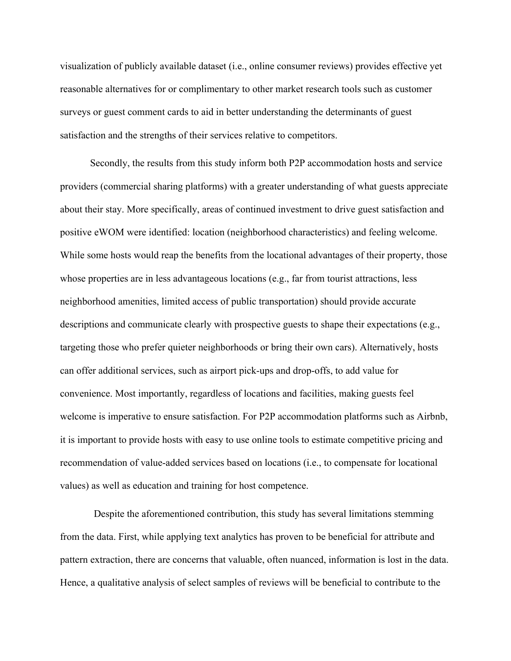visualization of publicly available dataset (i.e., online consumer reviews) provides effective yet reasonable alternatives for or complimentary to other market research tools such as customer surveys or guest comment cards to aid in better understanding the determinants of guest satisfaction and the strengths of their services relative to competitors.

Secondly, the results from this study inform both P2P accommodation hosts and service providers (commercial sharing platforms) with a greater understanding of what guests appreciate about their stay. More specifically, areas of continued investment to drive guest satisfaction and positive eWOM were identified: location (neighborhood characteristics) and feeling welcome. While some hosts would reap the benefits from the locational advantages of their property, those whose properties are in less advantageous locations (e.g., far from tourist attractions, less neighborhood amenities, limited access of public transportation) should provide accurate descriptions and communicate clearly with prospective guests to shape their expectations (e.g., targeting those who prefer quieter neighborhoods or bring their own cars). Alternatively, hosts can offer additional services, such as airport pick-ups and drop-offs, to add value for convenience. Most importantly, regardless of locations and facilities, making guests feel welcome is imperative to ensure satisfaction. For P2P accommodation platforms such as Airbnb, it is important to provide hosts with easy to use online tools to estimate competitive pricing and recommendation of value-added services based on locations (i.e., to compensate for locational values) as well as education and training for host competence.

Despite the aforementioned contribution, this study has several limitations stemming from the data. First, while applying text analytics has proven to be beneficial for attribute and pattern extraction, there are concerns that valuable, often nuanced, information is lost in the data. Hence, a qualitative analysis of select samples of reviews will be beneficial to contribute to the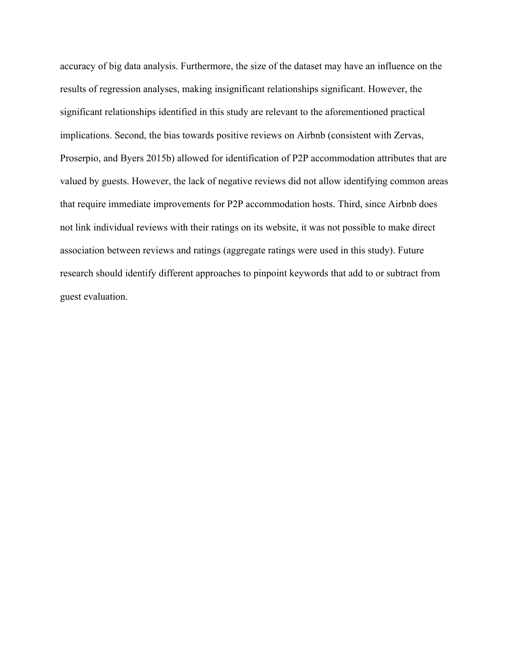accuracy of big data analysis. Furthermore, the size of the dataset may have an influence on the results of regression analyses, making insignificant relationships significant. However, the significant relationships identified in this study are relevant to the aforementioned practical implications. Second, the bias towards positive reviews on Airbnb (consistent with Zervas, Proserpio, and Byers 2015b) allowed for identification of P2P accommodation attributes that are valued by guests. However, the lack of negative reviews did not allow identifying common areas that require immediate improvements for P2P accommodation hosts. Third, since Airbnb does not link individual reviews with their ratings on its website, it was not possible to make direct association between reviews and ratings (aggregate ratings were used in this study). Future research should identify different approaches to pinpoint keywords that add to or subtract from guest evaluation.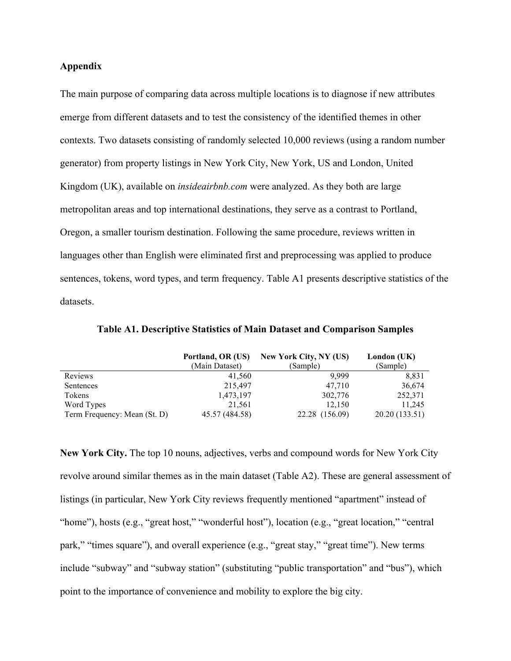# **Appendix**

The main purpose of comparing data across multiple locations is to diagnose if new attributes emerge from different datasets and to test the consistency of the identified themes in other contexts. Two datasets consisting of randomly selected 10,000 reviews (using a random number generator) from property listings in New York City, New York, US and London, United Kingdom (UK), available on *insideairbnb.com* were analyzed. As they both are large metropolitan areas and top international destinations, they serve as a contrast to Portland, Oregon, a smaller tourism destination. Following the same procedure, reviews written in languages other than English were eliminated first and preprocessing was applied to produce sentences, tokens, word types, and term frequency. Table A1 presents descriptive statistics of the datasets.

|                              | Portland, OR (US) | New York City, NY (US) | London (UK)   |
|------------------------------|-------------------|------------------------|---------------|
|                              | (Main Dataset)    | (Sample)               | (Sample)      |
| Reviews                      | 41.560            | 9,999                  | 8,831         |
| Sentences                    | 215.497           | 47,710                 | 36,674        |
| Tokens                       | 1,473,197         | 302,776                | 252,371       |
| Word Types                   | 21,561            | 12,150                 | 11,245        |
| Term Frequency: Mean (St. D) | 45.57 (484.58)    | 22.28 (156.09)         | 20.20(133.51) |

**Table A1. Descriptive Statistics of Main Dataset and Comparison Samples** 

**New York City.** The top 10 nouns, adjectives, verbs and compound words for New York City revolve around similar themes as in the main dataset (Table A2). These are general assessment of listings (in particular, New York City reviews frequently mentioned "apartment" instead of "home"), hosts (e.g., "great host," "wonderful host"), location (e.g., "great location," "central park," "times square"), and overall experience (e.g., "great stay," "great time"). New terms include "subway" and "subway station" (substituting "public transportation" and "bus"), which point to the importance of convenience and mobility to explore the big city.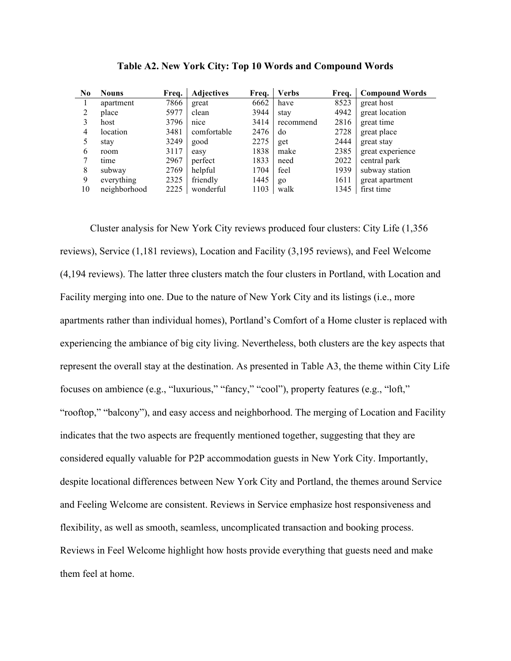| $\bf No$ | <b>Nouns</b> | Freq. | <b>Adjectives</b> | Freq. | <b>Verbs</b> | Frea. | <b>Compound Words</b> |
|----------|--------------|-------|-------------------|-------|--------------|-------|-----------------------|
|          | apartment    | 7866  | great             | 6662  | have         | 8523  | great host            |
| 2        | place        | 5977  | clean             | 3944  | stay         | 4942  | great location        |
| 3        | host         | 3796  | nice              | 3414  | recommend    | 2816  | great time            |
| 4        | location     | 3481  | comfortable       | 2476  | do           | 2728  | great place           |
|          | stay         | 3249  | good              | 2275  | get          | 2444  | great stay            |
| 6        | room         | 3117  | easy              | 1838  | make         | 2385  | great experience      |
|          | time         | 2967  | perfect           | 1833  | need         | 2022  | central park          |
| 8        | subway       | 2769  | helpful           | 1704  | feel         | 1939  | subway station        |
| 9        | everything   | 2325  | friendly          | 1445  | go           | 1611  | great apartment       |
| 10       | neighborhood | 2225  | wonderful         | 1103  | walk         | 1345  | first time            |

| Table A2. New York City: Top 10 Words and Compound Words |  |  |  |
|----------------------------------------------------------|--|--|--|
|                                                          |  |  |  |

Cluster analysis for New York City reviews produced four clusters: City Life (1,356 reviews), Service (1,181 reviews), Location and Facility (3,195 reviews), and Feel Welcome (4,194 reviews). The latter three clusters match the four clusters in Portland, with Location and Facility merging into one. Due to the nature of New York City and its listings (i.e., more apartments rather than individual homes), Portland's Comfort of a Home cluster is replaced with experiencing the ambiance of big city living. Nevertheless, both clusters are the key aspects that represent the overall stay at the destination. As presented in Table A3, the theme within City Life focuses on ambience (e.g., "luxurious," "fancy," "cool"), property features (e.g., "loft," "rooftop," "balcony"), and easy access and neighborhood. The merging of Location and Facility indicates that the two aspects are frequently mentioned together, suggesting that they are considered equally valuable for P2P accommodation guests in New York City. Importantly, despite locational differences between New York City and Portland, the themes around Service and Feeling Welcome are consistent. Reviews in Service emphasize host responsiveness and flexibility, as well as smooth, seamless, uncomplicated transaction and booking process. Reviews in Feel Welcome highlight how hosts provide everything that guests need and make them feel at home.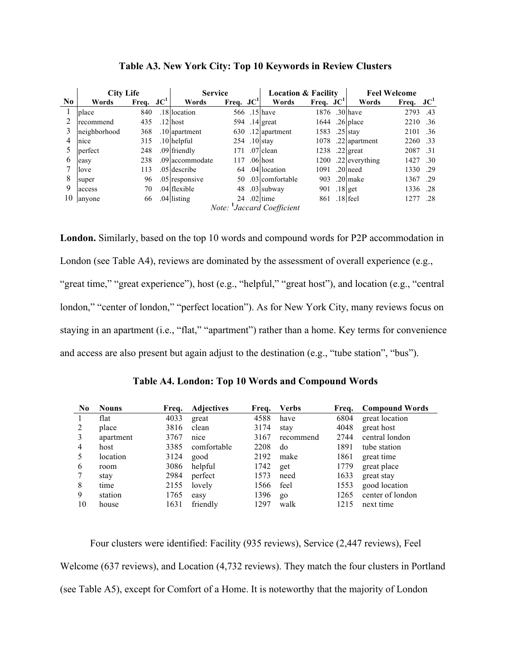|                | <b>City Life</b>                       |             | <b>Service</b> |                 | <b>Location &amp; Facility</b> |  |                 | <b>Feel Welcome</b> |  |                |             |     |
|----------------|----------------------------------------|-------------|----------------|-----------------|--------------------------------|--|-----------------|---------------------|--|----------------|-------------|-----|
| N <sub>0</sub> | Words                                  | Freq. $JC1$ |                | Words           | Freq. $JC1$                    |  | Words           | Freq. $JC^1$        |  | Words          | Freq. $JC1$ |     |
|                | place                                  | 840         |                | .18 location    |                                |  | 566 .15 have    | 1876 .30 have       |  |                | 2793        | .43 |
|                | recommend                              | 435         |                | $.12$ host      |                                |  | 594 .14 great   |                     |  | 1644 .26 place | 2210        | .36 |
|                | neighborhood                           | 368         |                | $.10$ apartment | 630                            |  | $.12$ apartment | 1583                |  | $.25$ stav     | 2101        | .36 |
| 4              | nice                                   | 315         |                | $.10$ helpful   |                                |  | 254 .10 stay    | 1078                |  | .22 apartment  | 2260        | .33 |
|                | perfect                                | 248         |                | .09 friendly    | 171                            |  | $.07$ clean     | 1238                |  | $.22$ great    | 2087        | .31 |
| 6              | easy                                   | 238         |                | .09 accommodate | 117                            |  | $.06$ host      | 1200                |  | .22 everything | 1427        | .30 |
|                | love                                   | 113         |                | .05 describe    |                                |  | 64 .04 location | 1091                |  | $.20$ need     | 1330        | -29 |
| 8              | super                                  | 96          |                | .05 responsive  | 50                             |  | .03 comfortable | 903                 |  | .20 make       | 1367        | -29 |
| 9              | access                                 | 70          |                | .04 flexible    | 48                             |  | $.03$ subway    | 901                 |  | $.18$ get      | 1336        | .28 |
| 10             | anyone                                 | 66          |                | $.04$ listing   |                                |  | 24 .02 time     | 861 .18 feel        |  |                | 1277        | -28 |
|                | Note: <sup>1</sup> Jaccard Coefficient |             |                |                 |                                |  |                 |                     |  |                |             |     |

| Table A3. New York City: Top 10 Keywords in Review Clusters |  |  |  |
|-------------------------------------------------------------|--|--|--|
|                                                             |  |  |  |

**London.** Similarly, based on the top 10 words and compound words for P2P accommodation in London (see Table A4), reviews are dominated by the assessment of overall experience (e.g., "great time," "great experience"), host (e.g., "helpful," "great host"), and location (e.g., "central" london," "center of london," "perfect location"). As for New York City, many reviews focus on staying in an apartment (i.e., "flat," "apartment") rather than a home. Key terms for convenience and access are also present but again adjust to the destination (e.g., "tube station", "bus").

**Table A4. London: Top 10 Words and Compound Words**

| $\bf No$       | <b>Nouns</b> | Freq. | <b>Adjectives</b> | Freq. | <b>Verbs</b> | Freq. | <b>Compound Words</b> |
|----------------|--------------|-------|-------------------|-------|--------------|-------|-----------------------|
|                | flat         | 4033  | great             | 4588  | have         | 6804  | great location        |
| 2              | place        | 3816  | clean             | 3174  | stay         | 4048  | great host            |
| 3              | apartment    | 3767  | nice              | 3167  | recommend    | 2744  | central london        |
| $\overline{4}$ | host         | 3385  | comfortable       | 2208  | do           | 1891  | tube station          |
| -5             | location     | 3124  | good              | 2192  | make         | 1861  | great time            |
| 6              | room         | 3086  | helpful           | 1742  | get          | 1779  | great place           |
|                | stay         | 2984  | perfect           | 1573  | need         | 1633  | great stay            |
| 8              | time         | 2155  | lovely            | 1566  | feel         | 1553  | good location         |
| 9              | station      | 1765  | easy              | 1396  | $g_0$        | 1265  | center of london      |
| 10             | house        | 1631  | friendly          | 1297  | walk         | 1215  | next time             |

Four clusters were identified: Facility (935 reviews), Service (2,447 reviews), Feel Welcome (637 reviews), and Location (4,732 reviews). They match the four clusters in Portland (see Table A5), except for Comfort of a Home. It is noteworthy that the majority of London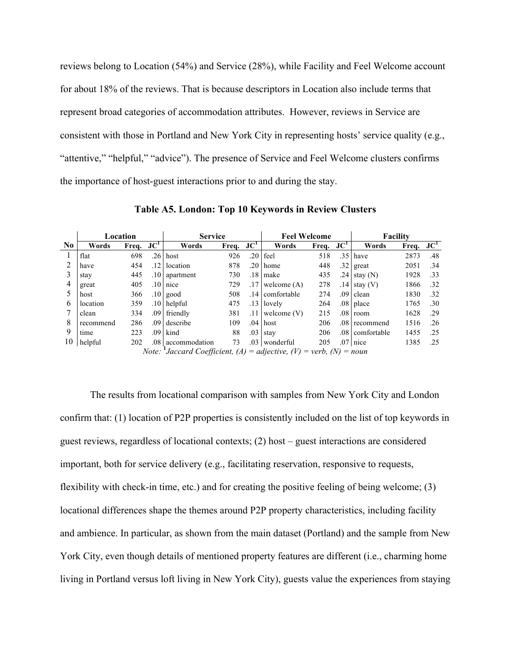reviews belong to Location (54%) and Service (28%), while Facility and Feel Welcome account for about 18% of the reviews. That is because descriptors in Location also include terms that represent broad categories of accommodation attributes. However, reviews in Service are consistent with those in Portland and New York City in representing hosts' service quality (e.g., "attentive," "helpful," "advice"). The presence of Service and Feel Welcome clusters confirms the importance of host-guest interactions prior to and during the stay.

|                | Location  |             |                  | <b>Service</b>                                                             |              |  | <b>Feel Welcome</b> |              |  | <b>Facility</b> |             |     |
|----------------|-----------|-------------|------------------|----------------------------------------------------------------------------|--------------|--|---------------------|--------------|--|-----------------|-------------|-----|
| N <sub>0</sub> | Words     | Freq. $JCT$ |                  | Words                                                                      | Freq. $JC^1$ |  | Words               | Freq. $JC^1$ |  | Words           | Freq. $JC1$ |     |
|                | flat      | 698         | .26 <sub>1</sub> | host                                                                       | 926          |  | $.20$ feel          | 518          |  | $.35$ have      | 2873        | .48 |
|                | have      | 454         | $.12\,$          | location                                                                   | 878          |  | $.20$ home          | 448          |  | $.32$ great     | 2051        | .34 |
|                | stay      | 445         |                  | $.10$ apartment                                                            | 730          |  | $.18$ make          | 435          |  | .24 stay $(N)$  | 1928        | .33 |
|                | great     | 405         | .10              | nice                                                                       | 729          |  | $.17$ welcome (A)   | 278          |  | $.14$ stay (V)  | 1866        | .32 |
|                | host      | 366         | .10 <sub>1</sub> | good                                                                       | 508          |  | .14 comfortable     | 274          |  | $.09$ clean     | 1830        | .32 |
| 6              | location  | 359         | .101             | helpful                                                                    | 475          |  | $.13$ lovely        | 264          |  | $.08$ place     | 1765        | .30 |
|                | clean     | 334         |                  | .09 friendly                                                               | 381          |  | $.11$ welcome $(V)$ | 215          |  | $.08$ room      | 1628        | .29 |
| 8              | recommend | 286         |                  | .09 describe                                                               | 109          |  | $.04$ host          | 206          |  | .08 recommend   | 1516        | .26 |
| 9              | time      | 223         | .09              | kind                                                                       | 88           |  | $.03$ stav          | 206          |  | .08 comfortable | 1455        | .25 |
| 10             | helpful   | 202         |                  | .08   accommodation                                                        | 73           |  | .03 wonderful       | 205          |  | $.07$ nice      | 1385        | .25 |
|                |           |             |                  | <i>Note:</i> 'Jaccard Coefficient, (A) = adjective, (V) = verb, (N) = noun |              |  |                     |              |  |                 |             |     |

**Table A5. London: Top 10 Keywords in Review Clusters**

The results from locational comparison with samples from New York City and London confirm that: (1) location of P2P properties is consistently included on the list of top keywords in guest reviews, regardless of locational contexts; (2) host – guest interactions are considered important, both for service delivery (e.g., facilitating reservation, responsive to requests, flexibility with check-in time, etc.) and for creating the positive feeling of being welcome; (3) locational differences shape the themes around P2P property characteristics, including facility and ambience. In particular, as shown from the main dataset (Portland) and the sample from New York City, even though details of mentioned property features are different (i.e., charming home living in Portland versus loft living in New York City), guests value the experiences from staying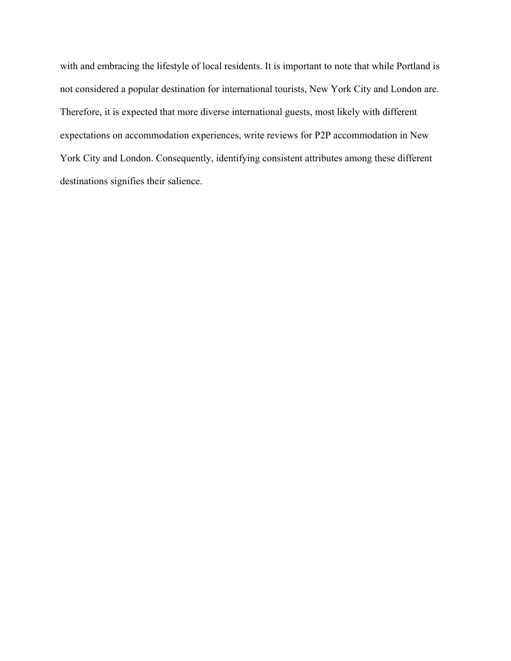with and embracing the lifestyle of local residents. It is important to note that while Portland is not considered a popular destination for international tourists, New York City and London are. Therefore, it is expected that more diverse international guests, most likely with different expectations on accommodation experiences, write reviews for P2P accommodation in New York City and London. Consequently, identifying consistent attributes among these different destinations signifies their salience.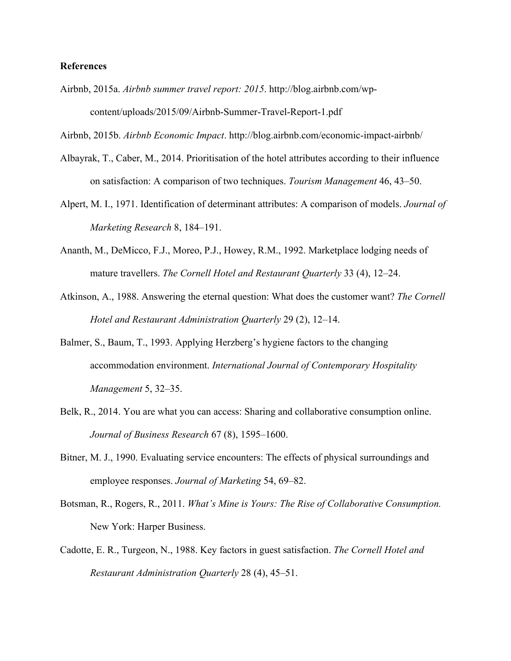# **References**

Airbnb, 2015a. *Airbnb summer travel report: 2015*. http://blog.airbnb.com/wpcontent/uploads/2015/09/Airbnb-Summer-Travel-Report-1.pdf

Airbnb, 2015b. *Airbnb Economic Impact*. http://blog.airbnb.com/economic-impact-airbnb/

- Albayrak, T., Caber, M., 2014. Prioritisation of the hotel attributes according to their influence on satisfaction: A comparison of two techniques. *Tourism Management* 46, 43–50.
- Alpert, M. I., 1971. Identification of determinant attributes: A comparison of models. *Journal of Marketing Research* 8, 184–191.
- Ananth, M., DeMicco, F.J., Moreo, P.J., Howey, R.M., 1992. Marketplace lodging needs of mature travellers. *The Cornell Hotel and Restaurant Quarterly* 33 (4), 12–24.
- Atkinson, A., 1988. Answering the eternal question: What does the customer want? *The Cornell Hotel and Restaurant Administration Quarterly* 29 (2), 12–14.
- Balmer, S., Baum, T., 1993. Applying Herzberg's hygiene factors to the changing accommodation environment. *International Journal of Contemporary Hospitality Management* 5, 32–35.
- Belk, R., 2014. You are what you can access: Sharing and collaborative consumption online. *Journal of Business Research* 67 (8), 1595–1600.
- Bitner, M. J., 1990. Evaluating service encounters: The effects of physical surroundings and employee responses. *Journal of Marketing* 54, 69–82.
- Botsman, R., Rogers, R., 2011. *What's Mine is Yours: The Rise of Collaborative Consumption.* New York: Harper Business.
- Cadotte, E. R., Turgeon, N., 1988. Key factors in guest satisfaction. *The Cornell Hotel and Restaurant Administration Quarterly* 28 (4), 45–51.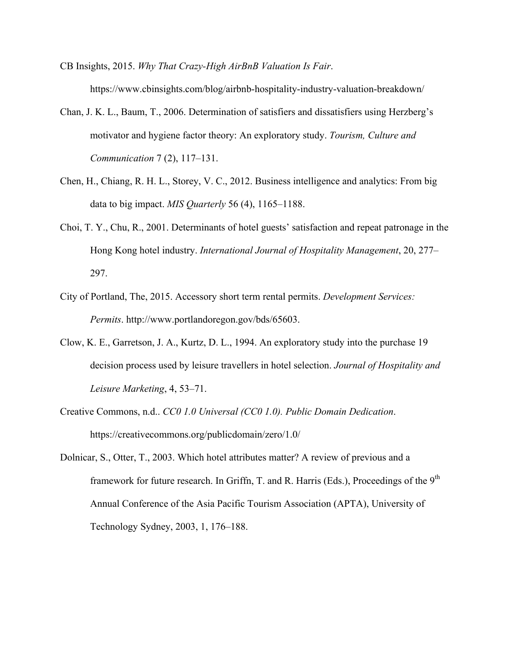CB Insights, 2015. *Why That Crazy-High AirBnB Valuation Is Fair*. https://www.cbinsights.com/blog/airbnb-hospitality-industry-valuation-breakdown/

- Chan, J. K. L., Baum, T., 2006. Determination of satisfiers and dissatisfiers using Herzberg's motivator and hygiene factor theory: An exploratory study. *Tourism, Culture and Communication* 7 (2), 117–131.
- Chen, H., Chiang, R. H. L., Storey, V. C., 2012. Business intelligence and analytics: From big data to big impact. *MIS Quarterly* 56 (4), 1165–1188.
- Choi, T. Y., Chu, R., 2001. Determinants of hotel guests' satisfaction and repeat patronage in the Hong Kong hotel industry. *International Journal of Hospitality Management*, 20, 277– 297.
- City of Portland, The, 2015. Accessory short term rental permits. *Development Services: Permits*. http://www.portlandoregon.gov/bds/65603.
- Clow, K. E., Garretson, J. A., Kurtz, D. L., 1994. An exploratory study into the purchase 19 decision process used by leisure travellers in hotel selection. *Journal of Hospitality and Leisure Marketing*, 4, 53–71.
- Creative Commons, n.d.. *CC0 1.0 Universal (CC0 1.0). Public Domain Dedication*. https://creativecommons.org/publicdomain/zero/1.0/
- Dolnicar, S., Otter, T., 2003. Which hotel attributes matter? A review of previous and a framework for future research. In Griffn, T. and R. Harris (Eds.), Proceedings of the 9<sup>th</sup> Annual Conference of the Asia Pacific Tourism Association (APTA), University of Technology Sydney, 2003, 1, 176–188.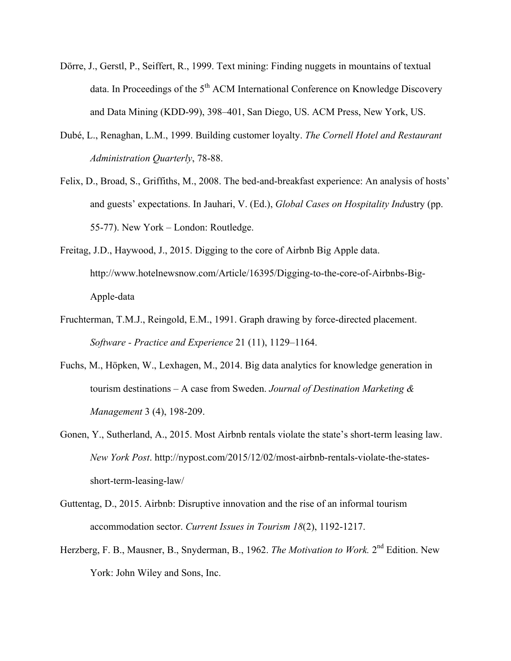- Dörre, J., Gerstl, P., Seiffert, R., 1999. Text mining: Finding nuggets in mountains of textual data. In Proceedings of the  $5<sup>th</sup>$  ACM International Conference on Knowledge Discovery and Data Mining (KDD-99), 398–401, San Diego, US. ACM Press, New York, US.
- Dubé, L., Renaghan, L.M., 1999. Building customer loyalty. *The Cornell Hotel and Restaurant Administration Quarterly*, 78-88.
- Felix, D., Broad, S., Griffiths, M., 2008. The bed-and-breakfast experience: An analysis of hosts' and guests' expectations. In Jauhari, V. (Ed.), *Global Cases on Hospitality Ind*ustry (pp. 55-77). New York – London: Routledge.
- Freitag, J.D., Haywood, J., 2015. Digging to the core of Airbnb Big Apple data. http://www.hotelnewsnow.com/Article/16395/Digging-to-the-core-of-Airbnbs-Big-Apple-data
- Fruchterman, T.M.J., Reingold, E.M., 1991. Graph drawing by force-directed placement. *Software - Practice and Experience* 21 (11), 1129–1164.
- Fuchs, M., Höpken, W., Lexhagen, M., 2014. Big data analytics for knowledge generation in tourism destinations – A case from Sweden. *Journal of Destination Marketing & Management* 3 (4), 198-209.
- Gonen, Y., Sutherland, A., 2015. Most Airbnb rentals violate the state's short-term leasing law. *New York Post*. http://nypost.com/2015/12/02/most-airbnb-rentals-violate-the-statesshort-term-leasing-law/
- Guttentag, D., 2015. Airbnb: Disruptive innovation and the rise of an informal tourism accommodation sector. *Current Issues in Tourism 18*(2), 1192-1217.
- Herzberg, F. B., Mausner, B., Snyderman, B., 1962. *The Motivation to Work*. 2<sup>nd</sup> Edition. New York: John Wiley and Sons, Inc.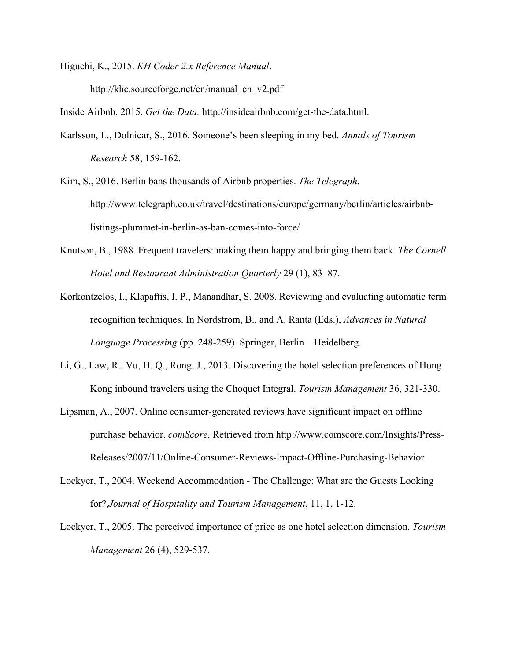Higuchi, K., 2015. *KH Coder 2.x Reference Manual*. http://khc.sourceforge.net/en/manual\_en\_v2.pdf

Inside Airbnb, 2015. *Get the Data.* http://insideairbnb.com/get-the-data.html.

- Karlsson, L., Dolnicar, S., 2016. Someone's been sleeping in my bed. *Annals of Tourism Research* 58, 159-162.
- Kim, S., 2016. Berlin bans thousands of Airbnb properties. *The Telegraph*. http://www.telegraph.co.uk/travel/destinations/europe/germany/berlin/articles/airbnblistings-plummet-in-berlin-as-ban-comes-into-force/
- Knutson, B., 1988. Frequent travelers: making them happy and bringing them back. *The Cornell Hotel and Restaurant Administration Quarterly* 29 (1), 83–87.
- Korkontzelos, I., Klapaftis, I. P., Manandhar, S. 2008. Reviewing and evaluating automatic term recognition techniques. In Nordstrom, B., and A. Ranta (Eds.), *Advances in Natural Language Processing* (pp. 248-259). Springer, Berlin – Heidelberg.
- Li, G., Law, R., Vu, H. Q., Rong, J., 2013. Discovering the hotel selection preferences of Hong Kong inbound travelers using the Choquet Integral. *Tourism Management* 36, 321-330.
- Lipsman, A., 2007. Online consumer-generated reviews have significant impact on offline purchase behavior. *comScore*. Retrieved from http://www.comscore.com/Insights/Press-Releases/2007/11/Online-Consumer-Reviews-Impact-Offline-Purchasing-Behavior
- Lockyer, T., 2004. Weekend Accommodation The Challenge: What are the Guests Looking for?,*Journal of Hospitality and Tourism Management*, 11, 1, 1-12.
- Lockyer, T., 2005. The perceived importance of price as one hotel selection dimension. *Tourism Management* 26 (4), 529-537.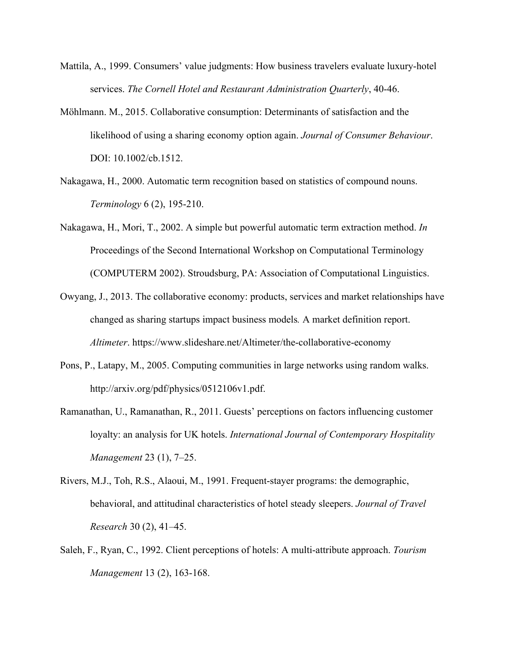- Mattila, A., 1999. Consumers' value judgments: How business travelers evaluate luxury-hotel services. *The Cornell Hotel and Restaurant Administration Quarterly*, 40-46.
- Möhlmann. M., 2015. Collaborative consumption: Determinants of satisfaction and the likelihood of using a sharing economy option again. *Journal of Consumer Behaviour*. DOI: 10.1002/cb.1512.
- Nakagawa, H., 2000. Automatic term recognition based on statistics of compound nouns. *Terminology* 6 (2), 195-210.
- Nakagawa, H., Mori, T., 2002. A simple but powerful automatic term extraction method. *In* Proceedings of the Second International Workshop on Computational Terminology (COMPUTERM 2002). Stroudsburg, PA: Association of Computational Linguistics.
- Owyang, J., 2013. The collaborative economy: products, services and market relationships have changed as sharing startups impact business models*.* A market definition report. *Altimeter*. https://www.slideshare.net/Altimeter/the-collaborative-economy
- Pons, P., Latapy, M., 2005. Computing communities in large networks using random walks. http://arxiv.org/pdf/physics/0512106v1.pdf.
- Ramanathan, U., Ramanathan, R., 2011. Guests' perceptions on factors influencing customer loyalty: an analysis for UK hotels. *International Journal of Contemporary Hospitality Management* 23 (1), 7–25.
- Rivers, M.J., Toh, R.S., Alaoui, M., 1991. Frequent-stayer programs: the demographic, behavioral, and attitudinal characteristics of hotel steady sleepers. *Journal of Travel Research* 30 (2), 41–45.
- Saleh, F., Ryan, C., 1992. Client perceptions of hotels: A multi-attribute approach. *Tourism Management* 13 (2), 163-168.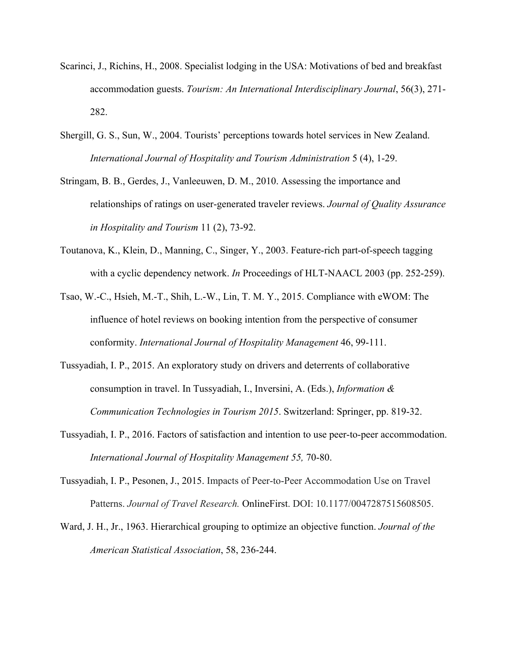- Scarinci, J., Richins, H., 2008. Specialist lodging in the USA: Motivations of bed and breakfast accommodation guests. *Tourism: An International Interdisciplinary Journal*, 56(3), 271- 282.
- Shergill, G. S., Sun, W., 2004. Tourists' perceptions towards hotel services in New Zealand. *International Journal of Hospitality and Tourism Administration* 5 (4), 1-29.
- Stringam, B. B., Gerdes, J., Vanleeuwen, D. M., 2010. Assessing the importance and relationships of ratings on user-generated traveler reviews. *Journal of Quality Assurance in Hospitality and Tourism* 11 (2), 73-92.
- Toutanova, K., Klein, D., Manning, C., Singer, Y., 2003. Feature-rich part-of-speech tagging with a cyclic dependency network. *In* Proceedings of HLT-NAACL 2003 (pp. 252-259).
- Tsao, W.-C., Hsieh, M.-T., Shih, L.-W., Lin, T. M. Y., 2015. Compliance with eWOM: The influence of hotel reviews on booking intention from the perspective of consumer conformity. *International Journal of Hospitality Management* 46, 99-111.
- Tussyadiah, I. P., 2015. An exploratory study on drivers and deterrents of collaborative consumption in travel. In Tussyadiah, I., Inversini, A. (Eds.), *Information & Communication Technologies in Tourism 2015*. Switzerland: Springer, pp. 819-32.
- Tussyadiah, I. P., 2016. Factors of satisfaction and intention to use peer-to-peer accommodation. *International Journal of Hospitality Management 55,* 70-80.
- Tussyadiah, I. P., Pesonen, J., 2015. Impacts of Peer-to-Peer Accommodation Use on Travel Patterns. *Journal of Travel Research.* OnlineFirst. DOI: 10.1177/0047287515608505.
- Ward, J. H., Jr., 1963. Hierarchical grouping to optimize an objective function. *Journal of the American Statistical Association*, 58, 236-244.